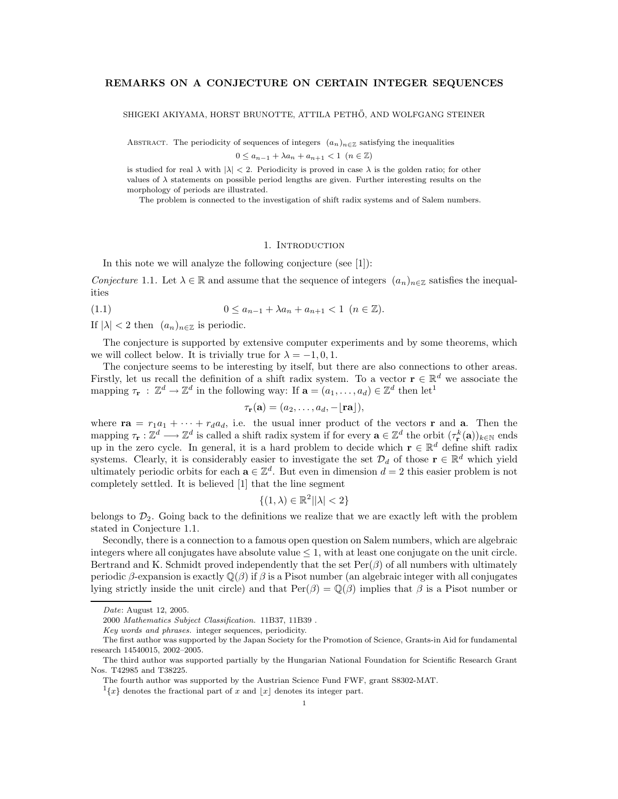# REMARKS ON A CONJECTURE ON CERTAIN INTEGER SEQUENCES

SHIGEKI AKIYAMA, HORST BRUNOTTE, ATTILA PETHŐ, AND WOLFGANG STEINER

ABSTRACT. The periodicity of sequences of integers  $(a_n)_{n\in\mathbb{Z}}$  satisfying the inequalities

 $0 ≤ a_{n-1} + \lambda a_n + a_{n+1} < 1$  (*n* ∈ ℤ)

is studied for real  $\lambda$  with  $|\lambda| < 2$ . Periodicity is proved in case  $\lambda$  is the golden ratio; for other values of  $\lambda$  statements on possible period lengths are given. Further interesting results on the morphology of periods are illustrated.

The problem is connected to the investigation of shift radix systems and of Salem numbers.

### 1. INTRODUCTION

In this note we will analyze the following conjecture (see [1]):

Conjecture 1.1. Let  $\lambda \in \mathbb{R}$  and assume that the sequence of integers  $(a_n)_{n\in\mathbb{Z}}$  satisfies the inequalities

(1.1) 
$$
0 \le a_{n-1} + \lambda a_n + a_{n+1} < 1 \ \ (n \in \mathbb{Z}).
$$

If  $|\lambda| < 2$  then  $(a_n)_{n \in \mathbb{Z}}$  is periodic.

The conjecture is supported by extensive computer experiments and by some theorems, which we will collect below. It is trivially true for  $\lambda = -1, 0, 1$ .

The conjecture seems to be interesting by itself, but there are also connections to other areas. Firstly, let us recall the definition of a shift radix system. To a vector  $\mathbf{r} \in \mathbb{R}^d$  we associate the mapping  $\tau_{\mathbf{r}}$ :  $\mathbb{Z}^d \to \mathbb{Z}^d$  in the following way: If  $\mathbf{a} = (a_1, \dots, a_d) \in \mathbb{Z}^d$  then let<sup>1</sup>

$$
\tau_{\mathbf{r}}(\mathbf{a}) = (a_2, \dots, a_d, -\lfloor \mathbf{r}\mathbf{a} \rfloor),
$$

where  $\mathbf{ra} = r_1a_1 + \cdots + r_d a_d$ , i.e. the usual inner product of the vectors **r** and **a**. Then the mapping  $\tau_{\mathbf{r}} : \mathbb{Z}^d \longrightarrow \mathbb{Z}^d$  is called a shift radix system if for every  $\mathbf{a} \in \mathbb{Z}^d$  the orbit  $(\tau_{\mathbf{r}}^k(\mathbf{a}))_{k \in \mathbb{N}}$  ends up in the zero cycle. In general, it is a hard problem to decide which  $\mathbf{r} \in \mathbb{R}^d$  define shift radix systems. Clearly, it is considerably easier to investigate the set  $\mathcal{D}_d$  of those  $\mathbf{r} \in \mathbb{R}^d$  which yield ultimately periodic orbits for each  $\mathbf{a} \in \mathbb{Z}^d$ . But even in dimension  $d = 2$  this easier problem is not completely settled. It is believed [1] that the line segment

$$
\{(1,\lambda)\in\mathbb{R}^2||\lambda|<2\}
$$

belongs to  $\mathcal{D}_2$ . Going back to the definitions we realize that we are exactly left with the problem stated in Conjecture 1.1.

Secondly, there is a connection to a famous open question on Salem numbers, which are algebraic integers where all conjugates have absolute value  $\leq 1$ , with at least one conjugate on the unit circle. Bertrand and K. Schmidt proved independently that the set  $\text{Per}(\beta)$  of all numbers with ultimately periodic  $\beta$ -expansion is exactly  $\mathbb{Q}(\beta)$  if  $\beta$  is a Pisot number (an algebraic integer with all conjugates lying strictly inside the unit circle) and that  $\text{Per}(\beta) = \mathbb{Q}(\beta)$  implies that  $\beta$  is a Pisot number or

Key words and phrases. integer sequences, periodicity.

Date: August 12, 2005.

<sup>2000</sup> Mathematics Subject Classification. 11B37, 11B39 .

The first author was supported by the Japan Society for the Promotion of Science, Grants-in Aid for fundamental research 14540015, 2002–2005.

The third author was supported partially by the Hungarian National Foundation for Scientific Research Grant Nos. T42985 and T38225.

The fourth author was supported by the Austrian Science Fund FWF, grant S8302-MAT.

 $\{1\}$  denotes the fractional part of x and  $\lfloor x \rfloor$  denotes its integer part.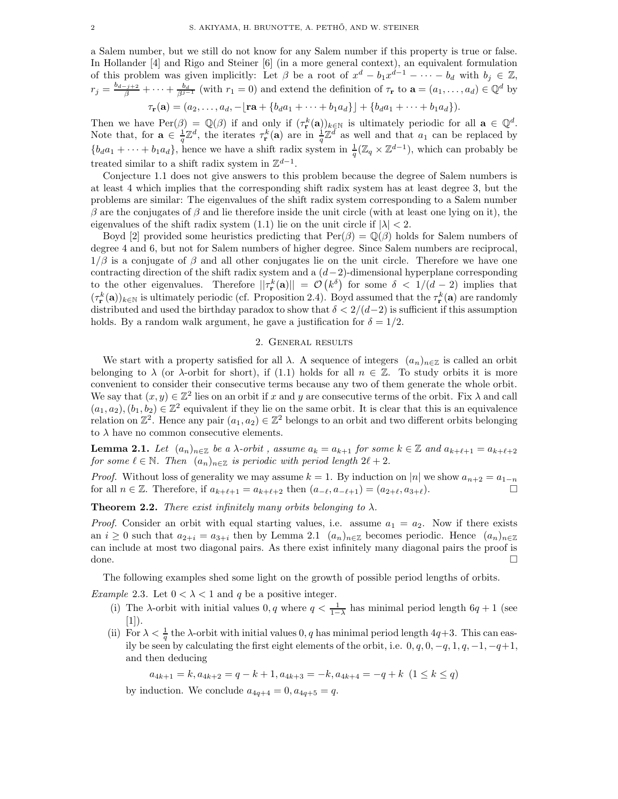a Salem number, but we still do not know for any Salem number if this property is true or false. In Hollander [4] and Rigo and Steiner [6] (in a more general context), an equivalent formulation of this problem was given implicitly: Let  $\beta$  be a root of  $x^d - b_1 x^{d-1} - \cdots - b_d$  with  $b_j \in \mathbb{Z}$ ,  $r_j = \frac{b_{d-j+2}}{\beta} + \cdots + \frac{b_d}{\beta^{j-1}}$  (with  $r_1 = 0$ ) and extend the definition of  $\tau_r$  to  $\mathbf{a} = (a_1, \ldots, a_d) \in \mathbb{Q}^d$  by

$$
\tau_{\mathbf{r}}(\mathbf{a}) = (a_2, \dots, a_d, -\lfloor \mathbf{r}\mathbf{a} + \{b_d a_1 + \dots + b_1 a_d\}\rfloor + \{b_d a_1 + \dots + b_1 a_d\}).
$$

Then we have  $\text{Per}(\beta) = \mathbb{Q}(\beta)$  if and only if  $(\tau^k(\mathbf{a}))_{k \in \mathbb{N}}$  is ultimately periodic for all  $\mathbf{a} \in \mathbb{Q}^d$ . Note that, for  $\mathbf{a} \in \frac{1}{q}\mathbb{Z}^d$ , the iterates  $\tau_{\mathbf{r}}^k(\mathbf{a})$  are in  $\frac{1}{q}\mathbb{Z}^d$  as well and that  $a_1$  can be replaced by  ${b_d a_1 + \cdots + b_1 a_d}$ , hence we have a shift radix system in  $\frac{1}{q}(\mathbb{Z}_q \times \mathbb{Z}^{d-1})$ , which can probably be treated similar to a shift radix system in  $\mathbb{Z}^{d-1}$ .

Conjecture 1.1 does not give answers to this problem because the degree of Salem numbers is at least 4 which implies that the corresponding shift radix system has at least degree 3, but the problems are similar: The eigenvalues of the shift radix system corresponding to a Salem number β are the conjugates of β and lie therefore inside the unit circle (with at least one lying on it), the eigenvalues of the shift radix system (1.1) lie on the unit circle if  $|\lambda| < 2$ .

Boyd [2] provided some heuristics predicting that  $\text{Per}(\beta) = \mathbb{Q}(\beta)$  holds for Salem numbers of degree 4 and 6, but not for Salem numbers of higher degree. Since Salem numbers are reciprocal,  $1/\beta$  is a conjugate of  $\beta$  and all other conjugates lie on the unit circle. Therefore we have one contracting direction of the shift radix system and a  $(d-2)$ -dimensional hyperplane corresponding to the other eigenvalues. Therefore  $||\tau_{\mathbf{r}}^k(\mathbf{a})|| = \mathcal{O}(k^{\delta})$  for some  $\delta < 1/(d-2)$  implies that  $(\tau_{\mathbf{r}}^k(\mathbf{a}))_{k\in\mathbb{N}}$  is ultimately periodic (cf. Proposition 2.4). Boyd assumed that the  $\tau_{\mathbf{r}}^k(\mathbf{a})$  are randomly distributed and used the birthday paradox to show that  $\delta < 2/(d-2)$  is sufficient if this assumption holds. By a random walk argument, he gave a justification for  $\delta = 1/2$ .

## 2. General results

We start with a property satisfied for all  $\lambda$ . A sequence of integers  $(a_n)_{n\in\mathbb{Z}}$  is called an orbit belonging to  $\lambda$  (or  $\lambda$ -orbit for short), if (1.1) holds for all  $n \in \mathbb{Z}$ . To study orbits it is more convenient to consider their consecutive terms because any two of them generate the whole orbit. We say that  $(x, y) \in \mathbb{Z}^2$  lies on an orbit if x and y are consecutive terms of the orbit. Fix  $\lambda$  and call  $(a_1, a_2), (b_1, b_2) \in \mathbb{Z}^2$  equivalent if they lie on the same orbit. It is clear that this is an equivalence relation on  $\mathbb{Z}^2$ . Hence any pair  $(a_1, a_2) \in \mathbb{Z}^2$  belongs to an orbit and two different orbits belonging to  $\lambda$  have no common consecutive elements.

**Lemma 2.1.** Let  $(a_n)_{n\in\mathbb{Z}}$  be a  $\lambda$ -orbit, assume  $a_k = a_{k+1}$  for some  $k \in \mathbb{Z}$  and  $a_{k+\ell+1} = a_{k+\ell+2}$ for some  $\ell \in \mathbb{N}$ . Then  $(a_n)_{n \in \mathbb{Z}}$  is periodic with period length  $2\ell + 2$ .

*Proof.* Without loss of generality we may assume  $k = 1$ . By induction on |n| we show  $a_{n+2} = a_{1-n}$  for all  $n \in \mathbb{Z}$ . Therefore, if  $a_{k+\ell+1} = a_{k+\ell+2}$  then  $(a_{-\ell}, a_{-\ell+1}) = (a_{2+\ell}, a_{3+\ell})$ . for all  $n \in \mathbb{Z}$ . Therefore, if  $a_{k+\ell+1} = a_{k+\ell+2}$  then  $(a_{-\ell}, a_{-\ell+1}) = (a_{2+\ell}, a_{3+\ell}).$ 

# **Theorem 2.2.** There exist infinitely many orbits belonging to  $\lambda$ .

*Proof.* Consider an orbit with equal starting values, i.e. assume  $a_1 = a_2$ . Now if there exists an  $i \geq 0$  such that  $a_{2+i} = a_{3+i}$  then by Lemma 2.1  $(a_n)_{n \in \mathbb{Z}}$  becomes periodic. Hence  $(a_n)_{n \in \mathbb{Z}}$ can include at most two diagonal pairs. As there exist infinitely many diagonal pairs the proof is done.

The following examples shed some light on the growth of possible period lengths of orbits.

Example 2.3. Let  $0 < \lambda < 1$  and q be a positive integer.

- (i) The  $\lambda$ -orbit with initial values  $0, q$  where  $q < \frac{1}{1-\lambda}$  has minimal period length  $6q + 1$  (see [1]).
- (ii) For  $\lambda < \frac{1}{q}$  the  $\lambda$ -orbit with initial values 0, q has minimal period length 4q+3. This can easily be seen by calculating the first eight elements of the orbit, i.e.  $0, q, 0, -q, 1, q, -1, -q+1$ , and then deducing

 $a_{4k+1} = k$ ,  $a_{4k+2} = q - k + 1$ ,  $a_{4k+3} = -k$ ,  $a_{4k+4} = -q + k$   $(1 \leq k \leq q)$ 

by induction. We conclude  $a_{4q+4} = 0, a_{4q+5} = q$ .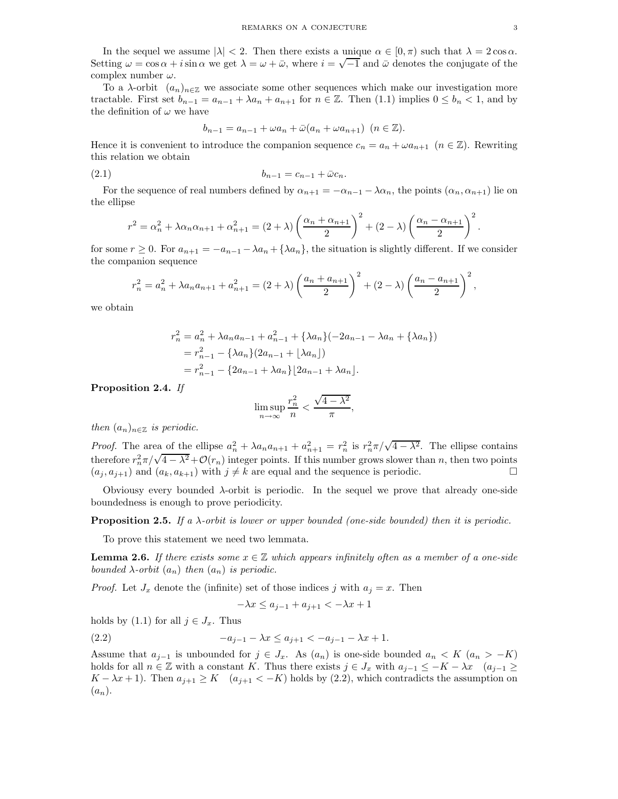In the sequel we assume  $|\lambda| < 2$ . Then there exists a unique  $\alpha \in [0, \pi)$  such that  $\lambda = 2 \cos \alpha$ . Setting  $\omega = \cos \alpha + i \sin \alpha$  we get  $\lambda = \omega + \bar{\omega}$ , where  $i = \sqrt{-1}$  and  $\bar{\omega}$  denotes the conjugate of the complex number  $\omega$ .

To a  $\lambda$ -orbit  $(a_n)_{n\in\mathbb{Z}}$  we associate some other sequences which make our investigation more tractable. First set  $b_{n-1} = a_{n-1} + \lambda a_n + a_{n+1}$  for  $n \in \mathbb{Z}$ . Then (1.1) implies  $0 \leq b_n < 1$ , and by the definition of  $\omega$  we have

$$
b_{n-1} = a_{n-1} + \omega a_n + \bar{\omega}(a_n + \omega a_{n+1}) \ \ (n \in \mathbb{Z}).
$$

Hence it is convenient to introduce the companion sequence  $c_n = a_n + \omega a_{n+1}$   $(n \in \mathbb{Z})$ . Rewriting this relation we obtain

(2.1) 
$$
b_{n-1} = c_{n-1} + \bar{\omega}c_n.
$$

For the sequence of real numbers defined by  $\alpha_{n+1} = -\alpha_{n-1} - \lambda \alpha_n$ , the points  $(\alpha_n, \alpha_{n+1})$  lie on the ellipse

$$
r^{2} = \alpha_{n}^{2} + \lambda \alpha_{n} \alpha_{n+1} + \alpha_{n+1}^{2} = (2 + \lambda) \left( \frac{\alpha_{n} + \alpha_{n+1}}{2} \right)^{2} + (2 - \lambda) \left( \frac{\alpha_{n} - \alpha_{n+1}}{2} \right)^{2}.
$$

for some  $r \geq 0$ . For  $a_{n+1} = -a_{n-1} - \lambda a_n + {\lambda a_n}$ , the situation is slightly different. If we consider the companion sequence

$$
r_n^2 = a_n^2 + \lambda a_n a_{n+1} + a_{n+1}^2 = (2+\lambda) \left( \frac{a_n + a_{n+1}}{2} \right)^2 + (2-\lambda) \left( \frac{a_n - a_{n+1}}{2} \right)^2,
$$

we obtain

$$
r_n^2 = a_n^2 + \lambda a_n a_{n-1} + a_{n-1}^2 + {\lambda a_n} (-2a_{n-1} - \lambda a_n + {\lambda a_n})
$$
  
=  $r_{n-1}^2 - {\lambda a_n} (2a_{n-1} + {\lambda a_n})$   
=  $r_{n-1}^2 - {2a_{n-1} + \lambda a_n} (2a_{n-1} + \lambda a_n).$ 

Proposition 2.4. If

$$
\limsup_{n \to \infty} \frac{r_n^2}{n} < \frac{\sqrt{4 - \lambda^2}}{\pi},
$$

then  $(a_n)_{n \in \mathbb{Z}}$  is periodic.

*Proof.* The area of the ellipse  $a_n^2 + \lambda a_n a_{n+1} + a_{n+1}^2 = r_n^2$  is  $r_n^2 \pi / \sqrt{4 - \lambda^2}$ . The ellipse contains therefore  $r_n^2 \pi / \sqrt{4 - \lambda^2} + \mathcal{O}(r_n)$  integer points. If this number grows slower than n, then two points  $(a_j, a_{j+1})$  and  $(a_k, a_{k+1})$  with  $j \neq k$  are equal and the sequence is periodic.

Obviousy every bounded  $\lambda$ -orbit is periodic. In the sequel we prove that already one-side boundedness is enough to prove periodicity.

**Proposition 2.5.** If a  $\lambda$ -orbit is lower or upper bounded (one-side bounded) then it is periodic.

To prove this statement we need two lemmata.

**Lemma 2.6.** If there exists some  $x \in \mathbb{Z}$  which appears infinitely often as a member of a one-side bounded  $\lambda$ -orbit  $(a_n)$  then  $(a_n)$  is periodic.

*Proof.* Let  $J_x$  denote the (infinite) set of those indices j with  $a_j = x$ . Then

$$
-\lambda x \le a_{j-1} + a_{j+1} < -\lambda x + 1
$$

holds by (1.1) for all  $j \in J_x$ . Thus

(2.2) 
$$
-a_{j-1} - \lambda x \le a_{j+1} < -a_{j-1} - \lambda x + 1.
$$

Assume that  $a_{j-1}$  is unbounded for  $j \in J_x$ . As  $(a_n)$  is one-side bounded  $a_n < K$   $(a_n > -K)$ holds for all  $n \in \mathbb{Z}$  with a constant K. Thus there exists  $j \in J_x$  with  $a_{j-1} \leq -K - \lambda x \quad (a_{j-1} \geq$  $K - \lambda x + 1$ ). Then  $a_{j+1} \geq K$   $(a_{j+1} < -K)$  holds by (2.2), which contradicts the assumption on  $(a_n).$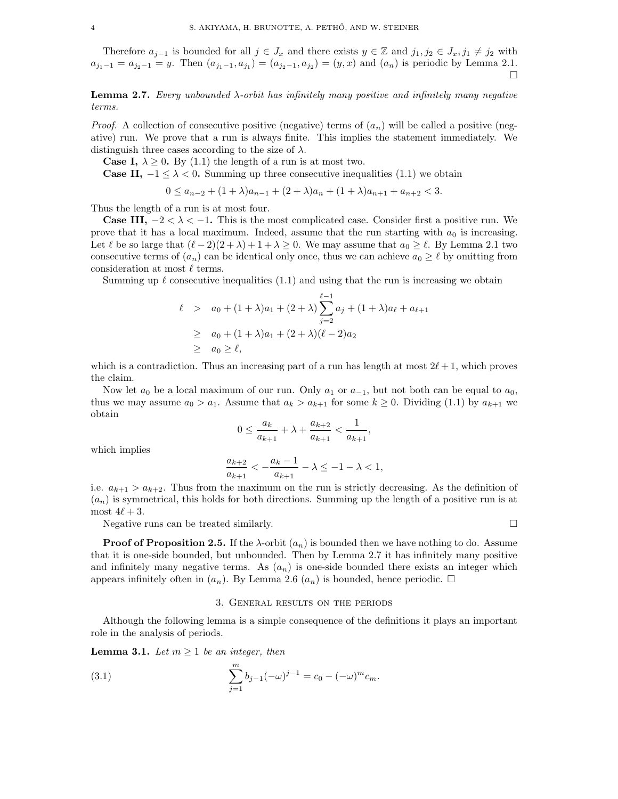Therefore  $a_{j-1}$  is bounded for all  $j \in J_x$  and there exists  $y \in \mathbb{Z}$  and  $j_1, j_2 \in J_x, j_1 \neq j_2$  with  $a_{j_1-1} = a_{j_2-1} = y$ . Then  $(a_{j_1-1}, a_{j_1}) = (a_{j_2-1}, a_{j_2}) = (y, x)$  and  $(a_n)$  is periodic by Lemma 2.1.  $\Box$ 

**Lemma 2.7.** Every unbounded  $\lambda$ -orbit has infinitely many positive and infinitely many negative terms.

*Proof.* A collection of consecutive positive (negative) terms of  $(a_n)$  will be called a positive (negative) run. We prove that a run is always finite. This implies the statement immediately. We distinguish three cases according to the size of  $\lambda$ .

**Case I,**  $\lambda \geq 0$ . By (1.1) the length of a run is at most two.

**Case II,**  $-1 \leq \lambda < 0$ . Summing up three consecutive inequalities (1.1) we obtain

$$
0 \le a_{n-2} + (1 + \lambda)a_{n-1} + (2 + \lambda)a_n + (1 + \lambda)a_{n+1} + a_{n+2} < 3.
$$

Thus the length of a run is at most four.

**Case III,**  $-2 < \lambda < -1$ . This is the most complicated case. Consider first a positive run. We prove that it has a local maximum. Indeed, assume that the run starting with  $a_0$  is increasing. Let  $\ell$  be so large that  $(\ell - 2)(2 + \lambda) + 1 + \lambda \geq 0$ . We may assume that  $a_0 \geq \ell$ . By Lemma 2.1 two consecutive terms of  $(a_n)$  can be identical only once, thus we can achieve  $a_0 \geq \ell$  by omitting from consideration at most  $\ell$  terms.

Summing up  $\ell$  consecutive inequalities (1.1) and using that the run is increasing we obtain

$$
\ell > a_0 + (1 + \lambda)a_1 + (2 + \lambda) \sum_{j=2}^{\ell-1} a_j + (1 + \lambda)a_\ell + a_{\ell+1}
$$
  
\n
$$
\geq a_0 + (1 + \lambda)a_1 + (2 + \lambda)(\ell - 2)a_2
$$
  
\n
$$
\geq a_0 \geq \ell,
$$

which is a contradiction. Thus an increasing part of a run has length at most  $2\ell + 1$ , which proves the claim.

Now let  $a_0$  be a local maximum of our run. Only  $a_1$  or  $a_{-1}$ , but not both can be equal to  $a_0$ , thus we may assume  $a_0 > a_1$ . Assume that  $a_k > a_{k+1}$  for some  $k \geq 0$ . Dividing (1.1) by  $a_{k+1}$  we obtain

$$
0 \le \frac{a_k}{a_{k+1}} + \lambda + \frac{a_{k+2}}{a_{k+1}} < \frac{1}{a_{k+1}},
$$

which implies

$$
\frac{a_{k+2}}{a_{k+1}} < -\frac{a_k - 1}{a_{k+1}} - \lambda \le -1 - \lambda < 1,
$$

i.e.  $a_{k+1} > a_{k+2}$ . Thus from the maximum on the run is strictly decreasing. As the definition of  $(a_n)$  is symmetrical, this holds for both directions. Summing up the length of a positive run is at most  $4\ell + 3$ .

Negative runs can be treated similarly.

**Proof of Proposition 2.5.** If the  $\lambda$ -orbit  $(a_n)$  is bounded then we have nothing to do. Assume that it is one-side bounded, but unbounded. Then by Lemma 2.7 it has infinitely many positive and infinitely many negative terms. As  $(a_n)$  is one-side bounded there exists an integer which appears infinitely often in  $(a_n)$ . By Lemma 2.6  $(a_n)$  is bounded, hence periodic.  $\Box$ 

#### 3. General results on the periods

Although the following lemma is a simple consequence of the definitions it plays an important role in the analysis of periods.

**Lemma 3.1.** Let  $m \geq 1$  be an integer, then

(3.1) 
$$
\sum_{j=1}^{m} b_{j-1}(-\omega)^{j-1} = c_0 - (-\omega)^m c_m.
$$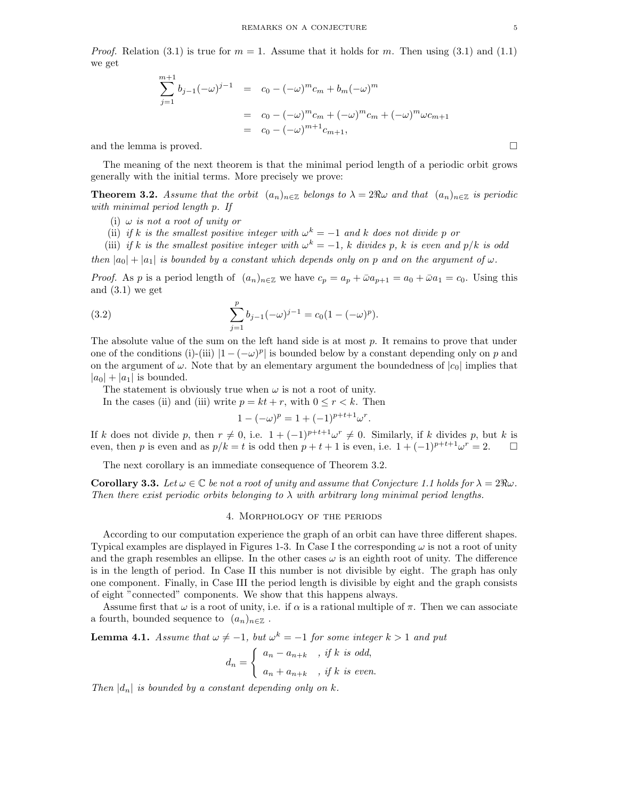*Proof.* Relation (3.1) is true for  $m = 1$ . Assume that it holds for m. Then using (3.1) and (1.1) we get

$$
\sum_{j=1}^{m+1} b_{j-1}(-\omega)^{j-1} = c_0 - (-\omega)^m c_m + b_m(-\omega)^m
$$
  
=  $c_0 - (-\omega)^m c_m + (-\omega)^m c_m + (-\omega)^m \omega c_{m+1}$   
=  $c_0 - (-\omega)^{m+1} c_{m+1}$ ,

and the lemma is proved.  $\square$ 

The meaning of the next theorem is that the minimal period length of a periodic orbit grows generally with the initial terms. More precisely we prove:

**Theorem 3.2.** Assume that the orbit  $(a_n)_{n\in\mathbb{Z}}$  belongs to  $\lambda = 2\Re\omega$  and that  $(a_n)_{n\in\mathbb{Z}}$  is periodic with minimal period length p. If

(i)  $\omega$  is not a root of unity or

- (ii) if k is the smallest positive integer with  $\omega^k = -1$  and k does not divide p or
- (iii) if k is the smallest positive integer with  $\omega^k = -1$ , k divides p, k is even and  $p/k$  is odd

then  $|a_0| + |a_1|$  is bounded by a constant which depends only on p and on the argument of  $\omega$ .

*Proof.* As p is a period length of  $(a_n)_{n\in\mathbb{Z}}$  we have  $c_p = a_p + \bar{\omega}a_{p+1} = a_0 + \bar{\omega}a_1 = c_0$ . Using this and (3.1) we get

(3.2) 
$$
\sum_{j=1}^{p} b_{j-1}(-\omega)^{j-1} = c_0(1 - (-\omega)^p).
$$

The absolute value of the sum on the left hand side is at most  $p$ . It remains to prove that under one of the conditions (i)-(iii)  $|1-(-\omega)^p|$  is bounded below by a constant depending only on p and on the argument of  $\omega$ . Note that by an elementary argument the boundedness of  $|c_0|$  implies that  $|a_0| + |a_1|$  is bounded.

The statement is obviously true when  $\omega$  is not a root of unity.

In the cases (ii) and (iii) write  $p = kt + r$ , with  $0 \le r \le k$ . Then

$$
1 - (-\omega)^p = 1 + (-1)^{p+t+1} \omega^r.
$$

If k does not divide p, then  $r \neq 0$ , i.e.  $1 + (-1)^{p+t+1}\omega^r \neq 0$ . Similarly, if k divides p, but k is even, then p is even and as  $p/k = t$  is odd then  $p + t + 1$  is even, i.e.  $1 + (-1)^{p+t+1}\omega^r = 2$ .  $\Box$ 

The next corollary is an immediate consequence of Theorem 3.2.

**Corollary 3.3.** Let  $\omega \in \mathbb{C}$  be not a root of unity and assume that Conjecture 1.1 holds for  $\lambda = 2\Re \omega$ . Then there exist periodic orbits belonging to  $\lambda$  with arbitrary long minimal period lengths.

## 4. Morphology of the periods

According to our computation experience the graph of an orbit can have three different shapes. Typical examples are displayed in Figures 1-3. In Case I the corresponding  $\omega$  is not a root of unity and the graph resembles an ellipse. In the other cases  $\omega$  is an eighth root of unity. The difference is in the length of period. In Case II this number is not divisible by eight. The graph has only one component. Finally, in Case III the period length is divisible by eight and the graph consists of eight "connected" components. We show that this happens always.

Assume first that  $\omega$  is a root of unity, i.e. if  $\alpha$  is a rational multiple of  $\pi$ . Then we can associate a fourth, bounded sequence to  $(a_n)_{n\in\mathbb{Z}}$ .

**Lemma 4.1.** Assume that  $\omega \neq -1$ , but  $\omega^k = -1$  for some integer  $k > 1$  and put

$$
d_n = \begin{cases} a_n - a_{n+k} & , \text{ if } k \text{ is odd,} \\ a_n + a_{n+k} & , \text{ if } k \text{ is even.} \end{cases}
$$

Then  $|d_n|$  is bounded by a constant depending only on k.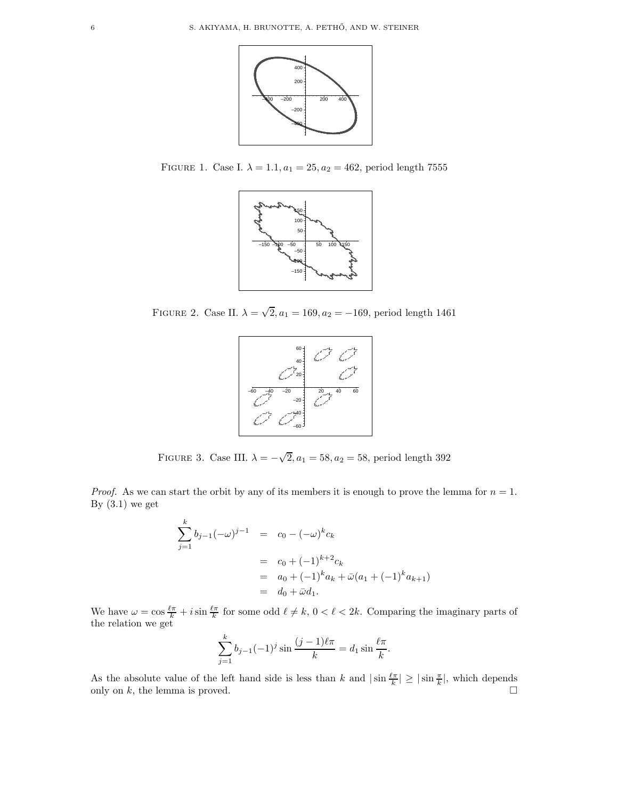

FIGURE 1. Case I.  $\lambda = 1.1, a_1 = 25, a_2 = 462$ , period length 7555



FIGURE 2. Case II.  $\lambda = \sqrt{2}$ ,  $a_1 = 169$ ,  $a_2 = -169$ , period length 1461



FIGURE 3. Case III.  $\lambda = -\sqrt{2}$ ,  $a_1 = 58$ ,  $a_2 = 58$ , period length 392

*Proof.* As we can start the orbit by any of its members it is enough to prove the lemma for  $n = 1$ . By  $(3.1)$  we get

$$
\sum_{j=1}^{k} b_{j-1}(-\omega)^{j-1} = c_0 - (-\omega)^k c_k
$$
  
=  $c_0 + (-1)^{k+2} c_k$   
=  $a_0 + (-1)^k a_k + \bar{\omega} (a_1 + (-1)^k a_{k+1})$   
=  $d_0 + \bar{\omega} d_1$ .

We have  $\omega = \cos \frac{\ell \pi}{k} + i \sin \frac{\ell \pi}{k}$  for some odd  $\ell \neq k$ ,  $0 < \ell < 2k$ . Comparing the imaginary parts of the relation we get

$$
\sum_{j=1}^{k} b_{j-1}(-1)^{j} \sin \frac{(j-1)\ell\pi}{k} = d_1 \sin \frac{\ell\pi}{k}.
$$

As the absolute value of the left hand side is less than k and  $|\sin \frac{\ell \pi}{k}| \geq |\sin \frac{\pi}{k}|$ , which depends only on k, the lemma is proved.  $\square$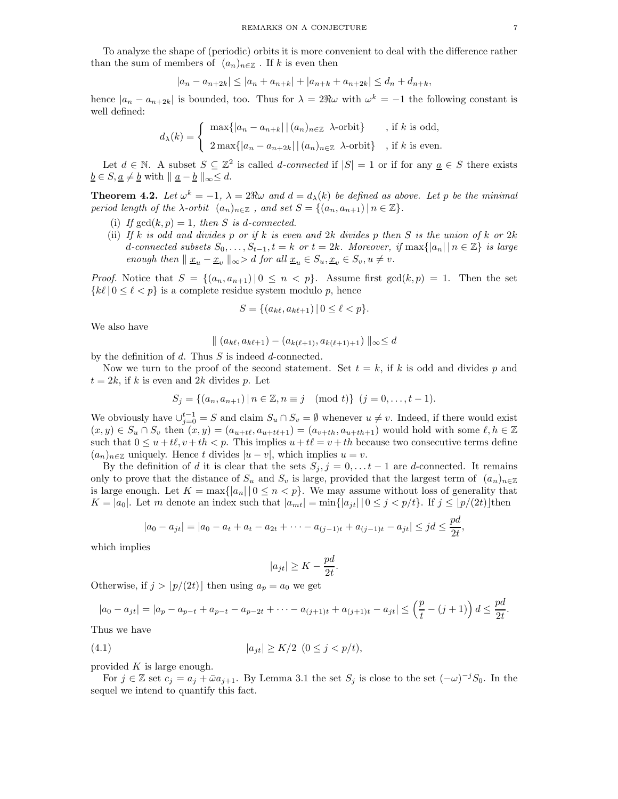To analyze the shape of (periodic) orbits it is more convenient to deal with the difference rather than the sum of members of  $(a_n)_{n\in\mathbb{Z}}$ . If k is even then

$$
|a_n - a_{n+2k}| \le |a_n + a_{n+k}| + |a_{n+k} + a_{n+2k}| \le d_n + d_{n+k},
$$

hence  $|a_n - a_{n+2k}|$  is bounded, too. Thus for  $\lambda = 2\Re\omega$  with  $\omega^k = -1$  the following constant is well defined:

$$
d_{\lambda}(k) = \begin{cases} \max\{|a_n - a_{n+k}| \, | \, (a_n)_{n \in \mathbb{Z}} \, \lambda\text{-orbit}\} & \text{, if } k \text{ is odd,} \\ 2\max\{|a_n - a_{n+2k}| \, | \, (a_n)_{n \in \mathbb{Z}} \, \lambda\text{-orbit}\} & \text{, if } k \text{ is even.} \end{cases}
$$

Let  $d \in \mathbb{N}$ . A subset  $S \subseteq \mathbb{Z}^2$  is called d-connected if  $|S| = 1$  or if for any  $\underline{a} \in S$  there exists  $\underline{b} \in S, \underline{a} \neq \underline{b}$  with  $\|\underline{a} - \underline{b}\|_{\infty} \leq d$ .

**Theorem 4.2.** Let  $\omega^k = -1$ ,  $\lambda = 2\Re\omega$  and  $d = d_{\lambda}(k)$  be defined as above. Let p be the minimal period length of the  $\lambda$ -orbit  $(a_n)_{n\in\mathbb{Z}}$ , and set  $S = \{(a_n, a_{n+1}) \mid n \in \mathbb{Z}\}.$ 

- (i) If  $gcd(k, p) = 1$ , then S is d-connected.
- (ii) If k is odd and divides p or if k is even and  $2k$  divides p then S is the union of k or  $2k$ d-connected subsets  $S_0, \ldots, S_{t-1}, t = k$  or  $t = 2k$ . Moreover, if  $\max\{|a_n| \mid n \in \mathbb{Z}\}\$  is large enough then  $\parallel \underline{x}_u - \underline{x}_v \parallel_{\infty} > d$  for all  $\underline{x}_u \in S_u, \underline{x}_v \in S_v, u \neq v$ .

*Proof.* Notice that  $S = \{(a_n, a_{n+1}) \mid 0 \leq n \leq p\}$ . Assume first  $gcd(k, p) = 1$ . Then the set  ${k\ell | 0 \leq \ell < p}$  is a complete residue system modulo p, hence

$$
S = \{(a_{k\ell}, a_{k\ell+1}) \, | \, 0 \le \ell < p\}.
$$

We also have

$$
\| (a_{k\ell}, a_{k\ell+1}) - (a_{k(\ell+1)}, a_{k(\ell+1)+1}) \|_{\infty} \leq d
$$

by the definition of  $d$ . Thus  $S$  is indeed  $d$ -connected.

Now we turn to the proof of the second statement. Set  $t = k$ , if k is odd and divides p and  $t = 2k$ , if k is even and 2k divides p. Let

$$
S_j = \{(a_n, a_{n+1}) \mid n \in \mathbb{Z}, n \equiv j \pmod{t}\} \ (j = 0, \ldots, t-1).
$$

We obviously have  $\cup_{j=0}^{t-1} = S$  and claim  $S_u \cap S_v = \emptyset$  whenever  $u \neq v$ . Indeed, if there would exist  $(x, y) \in S_u \cap S_v$  then  $(x, y) = (a_{u+tt}, a_{u+tt+1}) = (a_{v+th}, a_{u+th+1})$  would hold with some  $\ell, h \in \mathbb{Z}$ such that  $0 \le u + t\ell, v + th < p$ . This implies  $u + t\ell = v + th$  because two consecutive terms define  $(a_n)_{n\in\mathbb{Z}}$  uniquely. Hence t divides  $|u-v|$ , which implies  $u=v$ .

By the definition of d it is clear that the sets  $S_j$ ,  $j = 0, \ldots t-1$  are d-connected. It remains only to prove that the distance of  $S_u$  and  $S_v$  is large, provided that the largest term of  $(a_n)_{n\in\mathbb{Z}}$ is large enough. Let  $K = \max\{|a_n| \mid 0 \le n < p\}$ . We may assume without loss of generality that  $K = |a_0|$ . Let m denote an index such that  $|a_{mt}| = \min\{|a_{jt}|\}$   $0 \leq j \leq p/t\}$ . If  $j \leq \lfloor p/(2t) \rfloor$  then

$$
|a_0 - a_{jt}| = |a_0 - a_t + a_t - a_{2t} + \cdots - a_{(j-1)t} + a_{(j-1)t} - a_{jt}| \leq jd \leq \frac{pd}{2t},
$$

which implies

$$
|a_{jt}| \ge K - \frac{pd}{2t}
$$

.

Otherwise, if  $j > \lfloor p/(2t) \rfloor$  then using  $a_p = a_0$  we get

$$
|a_0 - a_{jt}| = |a_p - a_{p-t} + a_{p-t} - a_{p-2t} + \cdots - a_{(j+1)t} + a_{(j+1)t} - a_{jt}| \leq \left(\frac{p}{t} - (j+1)\right)d \leq \frac{pd}{2t}.
$$

Thus we have

(4.1) 
$$
|a_{jt}| \ge K/2 \ \ (0 \le j < p/t),
$$

provided  $K$  is large enough.

For  $j \in \mathbb{Z}$  set  $c_j = a_j + \bar{\omega}a_{j+1}$ . By Lemma 3.1 the set  $S_j$  is close to the set  $(-\omega)^{-j}S_0$ . In the sequel we intend to quantify this fact.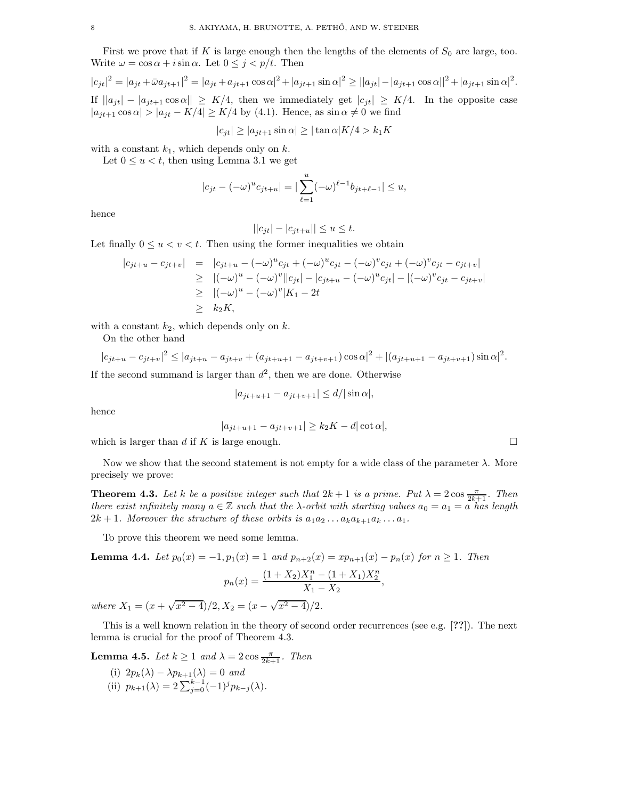First we prove that if K is large enough then the lengths of the elements of  $S_0$  are large, too. Write  $\omega = \cos \alpha + i \sin \alpha$ . Let  $0 \leq j \leq p/t$ . Then

$$
|c_{jt}|^2 = |a_{jt} + \bar{\omega}a_{jt+1}|^2 = |a_{jt} + a_{jt+1}\cos\alpha|^2 + |a_{jt+1}\sin\alpha|^2 \ge ||a_{jt}| - |a_{jt+1}\cos\alpha||^2 + |a_{jt+1}\sin\alpha|^2.
$$

If  $||a_{it} - a_{it+1} \cos \alpha|| \geq K/4$ , then we immediately get  $|c_{it}| \geq K/4$ . In the opposite case  $|a_{jt+1} \cos \alpha| > |a_{jt} - K/4| \ge K/4$  by (4.1). Hence, as  $\sin \alpha \ne 0$  we find

$$
|c_{jt}| \ge |a_{jt+1} \sin \alpha| \ge |\tan \alpha| K/4 > k_1 K
$$

with a constant  $k_1$ , which depends only on  $k$ .

Let  $0 \le u < t$ , then using Lemma 3.1 we get

$$
|c_{jt} - (-\omega)^u c_{jt+u}| = |\sum_{\ell=1}^u (-\omega)^{\ell-1} b_{jt+\ell-1}| \le u,
$$

hence

$$
||c_{jt}| - |c_{jt+u}|| \le u \le t.
$$

Let finally  $0 \le u < v < t$ . Then using the former inequalities we obtain

$$
\begin{array}{rcl}\n|c_{jt+u} - c_{jt+v}| & = & |c_{jt+u} - (-\omega)^u c_{jt} + (-\omega)^u c_{jt} - (-\omega)^v c_{jt} + (-\omega)^v c_{jt} - c_{jt+v}| \\
& \geq & |(-\omega)^u - (-\omega)^v||c_{jt}| - |c_{jt+u} - (-\omega)^u c_{jt}| - |(-\omega)^v c_{jt} - c_{jt+v}| \\
& \geq & |(-\omega)^u - (-\omega)^v|K_1 - 2t \\
& \geq & k_2 K,\n\end{array}
$$

with a constant  $k_2$ , which depends only on  $k$ .

On the other hand

$$
|c_{jt+u} - c_{jt+v}|^2 \le |a_{jt+u} - a_{jt+v} + (a_{jt+u+1} - a_{jt+v+1})\cos\alpha|^2 + |(a_{jt+u+1} - a_{jt+v+1})\sin\alpha|^2.
$$

If the second summand is larger than  $d^2$ , then we are done. Otherwise

$$
|a_{jt+u+1} - a_{jt+v+1}| \le d/|\sin \alpha|,
$$

hence

$$
|a_{jt+u+1} - a_{jt+v+1}| \ge k_2 K - d |\cot \alpha|,
$$

which is larger than d if K is large enough.

Now we show that the second statement is not empty for a wide class of the parameter  $\lambda$ . More precisely we prove:

**Theorem 4.3.** Let k be a positive integer such that  $2k + 1$  is a prime. Put  $\lambda = 2 \cos \frac{\pi}{2k+1}$ . Then there exist infinitely many  $a \in \mathbb{Z}$  such that the  $\lambda$ -orbit with starting values  $a_0 = a_1 = a$  has length  $2k+1$ . Moreover the structure of these orbits is  $a_1a_2 \ldots a_ka_{k+1}a_k \ldots a_1$ .

To prove this theorem we need some lemma.

**Lemma 4.4.** Let 
$$
p_0(x) = -1
$$
,  $p_1(x) = 1$  and  $p_{n+2}(x) = xp_{n+1}(x) - p_n(x)$  for  $n \ge 1$ . Then  

$$
p_n(x) = \frac{(1 + X_2)X_1^n - (1 + X_1)X_2^n}{X_1^n}
$$

$$
p_n(x) = \frac{(x + 1/2)x_1 - (x + 1/2)x_2}{X_1 - X_2},
$$
  
where  $X_1 = (x + \sqrt{x^2 - 4})/2$ ,  $X_2 = (x - \sqrt{x^2 - 4})/2$ .

This is a well known relation in the theory of second order recurrences (see e.g. [??]). The next lemma is crucial for the proof of Theorem 4.3.

**Lemma 4.5.** Let  $k \ge 1$  and  $\lambda = 2 \cos \frac{\pi}{2k+1}$ . Then

- (i)  $2p_k(\lambda) \lambda p_{k+1}(\lambda) = 0$  and
- (ii)  $p_{k+1}(\lambda) = 2 \sum_{j=0}^{k-1} (-1)^j p_{k-j}(\lambda)$ .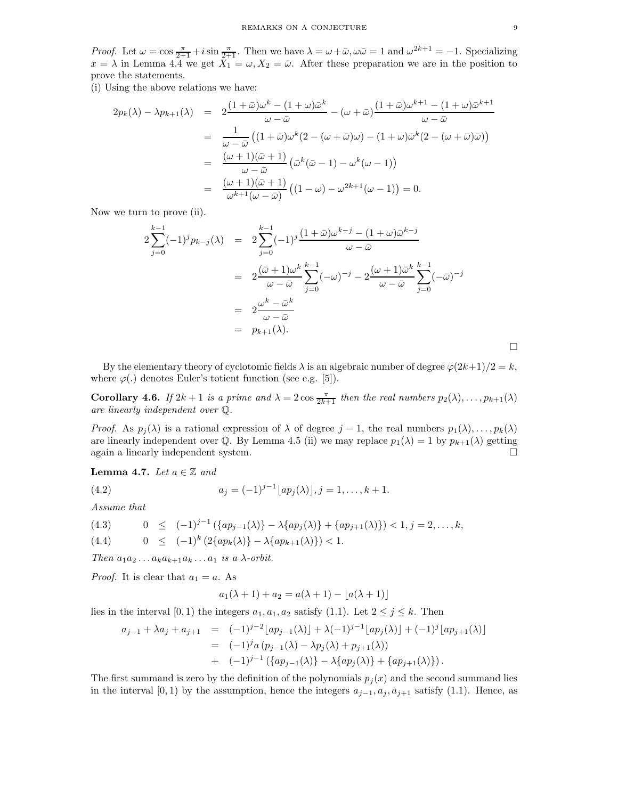*Proof.* Let  $\omega = \cos \frac{\pi}{2+1} + i \sin \frac{\pi}{2+1}$ . Then we have  $\lambda = \omega + \bar{\omega}, \omega \bar{\omega} = 1$  and  $\omega^{2k+1} = -1$ . Specializing  $x = \lambda$  in Lemma 4.4 we get  $X_1 = \omega, X_2 = \bar{\omega}$ . After these preparation we are in the position to prove the statements.

(i) Using the above relations we have:

$$
2p_k(\lambda) - \lambda p_{k+1}(\lambda) = 2\frac{(1+\bar{\omega})\omega^k - (1+\omega)\bar{\omega}^k}{\omega - \bar{\omega}} - (\omega + \bar{\omega})\frac{(1+\bar{\omega})\omega^{k+1} - (1+\omega)\bar{\omega}^{k+1}}{\omega - \bar{\omega}}
$$
  

$$
= \frac{1}{\omega - \bar{\omega}}((1+\bar{\omega})\omega^k(2 - (\omega + \bar{\omega})\omega) - (1+\omega)\bar{\omega}^k(2 - (\omega + \bar{\omega})\bar{\omega}))
$$
  

$$
= \frac{(\omega + 1)(\bar{\omega} + 1)}{\omega - \bar{\omega}}(\bar{\omega}^k(\bar{\omega} - 1) - \omega^k(\omega - 1))
$$
  

$$
= \frac{(\omega + 1)(\bar{\omega} + 1)}{\omega^{k+1}(\omega - \bar{\omega})}((1-\omega) - \omega^{2k+1}(\omega - 1)) = 0.
$$

Now we turn to prove (ii).

$$
2\sum_{j=0}^{k-1}(-1)^{j}p_{k-j}(\lambda) = 2\sum_{j=0}^{k-1}(-1)^{j}\frac{(1+\bar{\omega})\omega^{k-j} - (1+\omega)\bar{\omega}^{k-j}}{\omega - \bar{\omega}} \n= 2\frac{(\bar{\omega}+1)\omega^{k}}{\omega - \bar{\omega}}\sum_{j=0}^{k-1}(-\omega)^{-j} - 2\frac{(\omega+1)\bar{\omega}^{k}}{\omega - \bar{\omega}}\sum_{j=0}^{k-1}(-\bar{\omega})^{-j} \n= 2\frac{\omega^{k}-\bar{\omega}^{k}}{\omega - \bar{\omega}} \n= p_{k+1}(\lambda).
$$

By the elementary theory of cyclotomic fields  $\lambda$  is an algebraic number of degree  $\varphi(2k+1)/2 = k$ , where  $\varphi(.)$  denotes Euler's totient function (see e.g. [5]).

**Corollary 4.6.** If  $2k+1$  is a prime and  $\lambda = 2 \cos \frac{\pi}{2k+1}$  then the real numbers  $p_2(\lambda), \ldots, p_{k+1}(\lambda)$ are linearly independent over Q.

*Proof.* As  $p_j(\lambda)$  is a rational expression of  $\lambda$  of degree  $j-1$ , the real numbers  $p_1(\lambda), \ldots, p_k(\lambda)$ are linearly independent over Q. By Lemma 4.5 (ii) we may replace  $p_1(\lambda) = 1$  by  $p_{k+1}(\lambda)$  getting again a linearly independent system.  $\square$ 

Lemma 4.7. Let  $a \in \mathbb{Z}$  and

(4.2) 
$$
a_j = (-1)^{j-1} \lfloor ap_j(\lambda) \rfloor, j = 1, \ldots, k+1.
$$

Assume that

(4.3) 
$$
0 \leq (-1)^{j-1} (\{ap_{j-1}(\lambda)\} - \lambda \{ap_j(\lambda)\} + \{ap_{j+1}(\lambda)\}) < 1, j = 2, ..., k,
$$
  
(4.4) 
$$
0 \leq (-1)^k (2\{ap_k(\lambda)\} - \lambda \{ap_{k+1}(\lambda)\}) < 1.
$$

Then  $a_1a_2 \ldots a_ka_{k+1}a_k \ldots a_1$  is a  $\lambda$ -orbit.

*Proof.* It is clear that  $a_1 = a$ . As

$$
a_1(\lambda + 1) + a_2 = a(\lambda + 1) - \lfloor a(\lambda + 1) \rfloor
$$

lies in the interval [0, 1) the integers  $a_1, a_1, a_2$  satisfy (1.1). Let  $2 \leq j \leq k$ . Then

$$
a_{j-1} + \lambda a_j + a_{j+1} = (-1)^{j-2} \lfloor ap_{j-1}(\lambda) \rfloor + \lambda (-1)^{j-1} \lfloor ap_j(\lambda) \rfloor + (-1)^j \lfloor ap_{j+1}(\lambda) \rfloor
$$
  
= 
$$
(-1)^j a (p_{j-1}(\lambda) - \lambda p_j(\lambda) + p_{j+1}(\lambda))
$$
  
+ 
$$
(-1)^{j-1} (\{ ap_{j-1}(\lambda) \} - \lambda \{ ap_j(\lambda) \} + \{ ap_{j+1}(\lambda) \}).
$$

The first summand is zero by the definition of the polynomials  $p_i(x)$  and the second summand lies in the interval [0, 1) by the assumption, hence the integers  $a_{j-1}, a_j, a_{j+1}$  satisfy (1.1). Hence, as

 $\Box$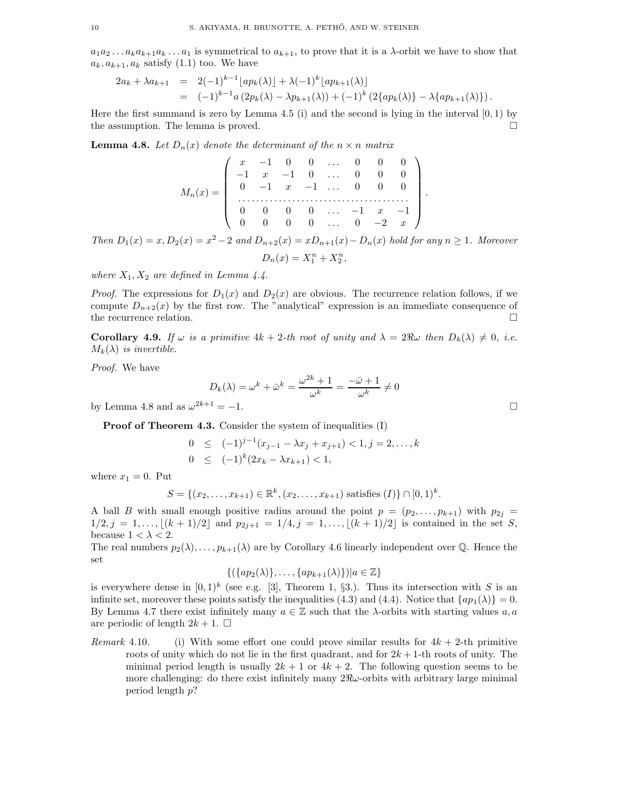$a_1a_2 \ldots a_ka_{k+1}a_k \ldots a_1$  is symmetrical to  $a_{k+1}$ , to prove that it is a  $\lambda$ -orbit we have to show that  $a_k, a_{k+1}, a_k$  satisfy  $(1.1)$  too. We have

$$
2a_k + \lambda a_{k+1} = 2(-1)^{k-1} \lfloor ap_k(\lambda) \rfloor + \lambda (-1)^k \lfloor ap_{k+1}(\lambda) \rfloor
$$
  
= 
$$
(-1)^{k-1} a (2p_k(\lambda) - \lambda p_{k+1}(\lambda)) + (-1)^k (2\{ap_k(\lambda)\} - \lambda \{ap_{k+1}(\lambda)\}).
$$

Here the first summand is zero by Lemma 4.5 (i) and the second is lying in the interval  $(0, 1)$  by the assumption. The lemma is proved.

**Lemma 4.8.** Let  $D_n(x)$  denote the determinant of the  $n \times n$  matrix

$$
M_n(x) = \left(\begin{array}{cccccc} x & -1 & 0 & 0 & \dots & 0 & 0 & 0 \\ -1 & x & -1 & 0 & \dots & 0 & 0 & 0 \\ 0 & -1 & x & -1 & \dots & 0 & 0 & 0 \\ \vdots & \vdots & \vdots & \ddots & \vdots & \ddots & \vdots & \vdots \\ 0 & 0 & 0 & 0 & \dots & -1 & x & -1 \\ 0 & 0 & 0 & 0 & \dots & 0 & -2 & x \end{array}\right)
$$

.

Then  $D_1(x) = x, D_2(x) = x^2 - 2$  and  $D_{n+2}(x) = xD_{n+1}(x) - D_n(x)$  hold for any  $n ≥ 1$ . Moreover  $D_n(x) = X_1^n + X_2^n,$ 

where  $X_1, X_2$  are defined in Lemma 4.4.

*Proof.* The expressions for  $D_1(x)$  and  $D_2(x)$  are obvious. The recurrence relation follows, if we compute  $D_{n+2}(x)$  by the first row. The "analytical" expression is an immediate consequence of the recurrence relation.

**Corollary 4.9.** If  $\omega$  is a primitive  $4k + 2$ -th root of unity and  $\lambda = 2\Re\omega$  then  $D_k(\lambda) \neq 0$ , i.e.  $M_k(\lambda)$  is invertible.

Proof. We have

$$
D_k(\lambda) = \omega^k + \bar{\omega}^k = \frac{\omega^{2k} + 1}{\omega^k} = \frac{-\bar{\omega} + 1}{\omega^k} \neq 0
$$

by Lemma 4.8 and as  $\omega^{2k+1} = -1$ .  $2k+1 = -1.$ 

**Proof of Theorem 4.3.** Consider the system of inequalities  $(I)$ 

$$
0 \le (-1)^{j-1}(x_{j-1} - \lambda x_j + x_{j+1}) < 1, j = 2, ..., k
$$
  
\n
$$
0 \le (-1)^k (2x_k - \lambda x_{k+1}) < 1,
$$

where  $x_1 = 0$ . Put

$$
S = \{(x_2, \ldots, x_{k+1}) \in \mathbb{R}^k, (x_2, \ldots, x_{k+1}) \text{ satisfies } (I)\} \cap [0,1)^k.
$$

A ball B with small enough positive radius around the point  $p = (p_2, \ldots, p_{k+1})$  with  $p_{2j}$  $1/2, j = 1, \ldots, \lfloor (k + 1)/2 \rfloor$  and  $p_{2j+1} = 1/4, j = 1, \ldots, \lfloor (k + 1)/2 \rfloor$  is contained in the set S, because  $1 < \lambda < 2$ .

The real numbers  $p_2(\lambda), \ldots, p_{k+1}(\lambda)$  are by Corollary 4.6 linearly independent over Q. Hence the set

 $\{(\{ap_2(\lambda)\}, \ldots, \{ap_{k+1}(\lambda)\})|a \in \mathbb{Z}\}\$ 

is everywhere dense in  $[0,1)^k$  (see e.g. [3], Theorem 1, §3.). Thus its intersection with S is an infinite set, moreover these points satisfy the inequalities (4.3) and (4.4). Notice that  $\{ap_1(\lambda)\}=0$ . By Lemma 4.7 there exist infinitely many  $a \in \mathbb{Z}$  such that the  $\lambda$ -orbits with starting values  $a, a$ are periodic of length  $2k + 1$ .  $\Box$ 

Remark 4.10. (i) With some effort one could prove similar results for  $4k + 2$ -th primitive roots of unity which do not lie in the first quadrant, and for  $2k + 1$ -th roots of unity. The minimal period length is usually  $2k + 1$  or  $4k + 2$ . The following question seems to be more challenging: do there exist infinitely many  $2\Re\omega$ -orbits with arbitrary large minimal period length p?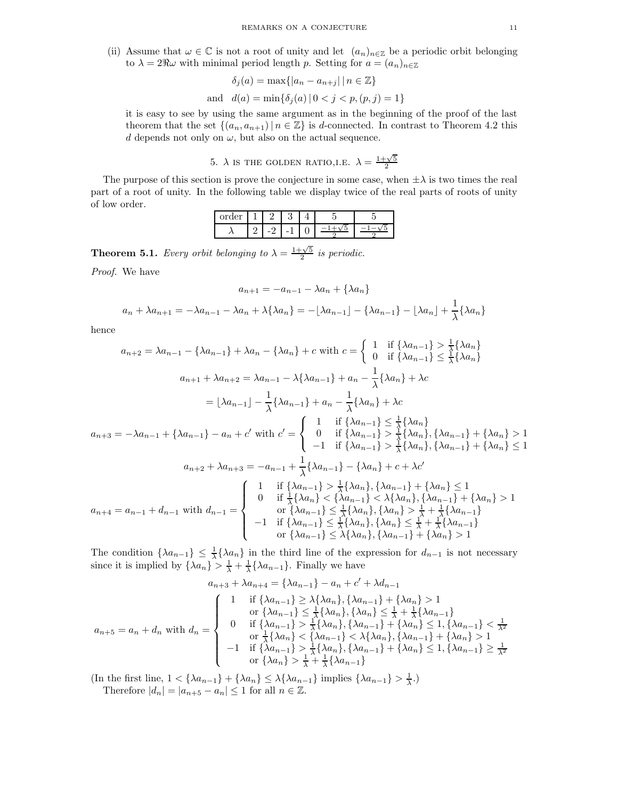(ii) Assume that  $\omega \in \mathbb{C}$  is not a root of unity and let  $(a_n)_{n \in \mathbb{Z}}$  be a periodic orbit belonging to  $\lambda = 2\Re\omega$  with minimal period length p. Setting for  $a = (a_n)_{n \in \mathbb{Z}}$ 

$$
\delta_j(a) = \max\{|a_n - a_{n+j}| \mid n \in \mathbb{Z}\}\
$$
  
and 
$$
d(a) = \min\{\delta_j(a) \mid 0 < j < p, (p, j) = 1\}
$$

it is easy to see by using the same argument as in the beginning of the proof of the last theorem that the set  $\{(a_n, a_{n+1}) | n \in \mathbb{Z}\}\$ is d-connected. In contrast to Theorem 4.2 this d depends not only on  $\omega$ , but also on the actual sequence.

5. 
$$
\lambda
$$
 is the golden ratio, i.e.  $\lambda = \frac{1 + \sqrt{5}}{2}$ 

The purpose of this section is prove the conjecture in some case, when  $\pm \lambda$  is two times the real part of a root of unity. In the following table we display twice of the real parts of roots of unity of low order.

| order<br>╰ |  | U |   |  |
|------------|--|---|---|--|
|            |  |   | ى |  |

**Theorem 5.1.** Every orbit belonging to  $\lambda = \frac{1+\sqrt{5}}{2}$  is periodic.

Proof. We have

$$
a_{n+1} = -a_{n-1} - \lambda a_n + \{\lambda a_n\}
$$

$$
a_n + \lambda a_{n+1} = -\lambda a_{n-1} - \lambda a_n + \lambda \{\lambda a_n\} = -\lfloor \lambda a_{n-1} \rfloor - \{\lambda a_{n-1}\} - \lfloor \lambda a_n \rfloor + \frac{1}{\lambda} \{\lambda a_n\}
$$

hence

$$
a_{n+2} = \lambda a_{n-1} - \{\lambda a_{n-1}\} + \lambda a_n - \{\lambda a_n\} + c \text{ with } c = \begin{cases} 1 & \text{if } \{\lambda a_{n-1}\} > \frac{1}{\lambda} \{\lambda a_n\} \\ 0 & \text{if } \{\lambda a_{n-1}\} \le \frac{1}{\lambda} \{\lambda a_n\} \end{cases}
$$

$$
a_{n+1} + \lambda a_{n+2} = \lambda a_{n-1} - \lambda \{\lambda a_{n-1}\} + a_n - \frac{1}{\lambda} \{\lambda a_n\} + \lambda c
$$

$$
= \lfloor \lambda a_{n-1} \rfloor - \frac{1}{\lambda} \{\lambda a_{n-1}\} + a_n - \frac{1}{\lambda} \{\lambda a_n\} + \lambda c
$$

$$
a_{n+3} = -\lambda a_{n-1} + \{\lambda a_{n-1}\} - a_n + c' \text{ with } c' = \begin{cases} 1 & \text{if } \{\lambda a_{n-1}\} \le \frac{1}{\lambda} \{\lambda a_n\} \\ 0 & \text{if } \{\lambda a_{n-1}\} > \frac{1}{\lambda} \{\lambda a_n\}, \{\lambda a_{n-1}\} + \{\lambda a_n\} > 1 \\ -1 & \text{if } \{\lambda a_{n-1}\} > \frac{1}{\lambda} \{\lambda a_n\}, \{\lambda a_{n-1}\} + \{\lambda a_n\} \le 1 \end{cases}
$$

$$
a_{n+2} + \lambda a_{n+3} = -a_{n-1} + \frac{1}{\lambda} \{\lambda a_{n-1}\} - \{\lambda a_n\} + c + \lambda c'
$$

$$
a_{n+4} = a_{n-1} + d_{n-1} \text{ with } d_{n-1} = \begin{cases} 1 & \text{if } \{\lambda a_{n-1}\} > \frac{1}{\lambda} \{\lambda a_n\}, \{\lambda a_{n-1}\} + \{\lambda a_n\} \le 1 \\ 0 & \text{if } \frac{1}{\lambda} \{\lambda a_n\} < \{\lambda a_{n-1}\} < \lambda \{\lambda a_n\}, \{\lambda a_{n-1}\} + \{\lambda a_n\} > 1 \\ 0 & \text{if } \frac{1}{\lambda} \{\lambda a_n\} < \{\lambda a_{n-1}\} < \lambda \{\lambda a_n\}, \{\lambda a_{n-1}\} + \{\lambda a_n\
$$

The condition  $\{\lambda a_{n-1}\}\leq \frac{1}{\lambda}\{\lambda a_n\}$  in the third line of the expression for  $d_{n-1}$  is not necessary since it is implied by  $\{\lambda a_n\} > \frac{1}{\lambda} + \frac{1}{\lambda} \{\lambda a_{n-1}\}.$  Finally we have

$$
a_{n+3} + \lambda a_{n+4} = \{\lambda a_{n-1}\} - a_n + c' + \lambda d_{n-1}
$$
  
\n
$$
a_{n+5} = a_n + d_n \text{ with } d_n = \begin{cases} 1 & \text{if } \{\lambda a_{n-1}\} \ge \lambda \{\lambda a_n\}, \{\lambda a_{n-1}\} + \{\lambda a_n\} > 1 \\ & \text{or } \{\lambda a_{n-1}\} \le \frac{1}{\lambda} \{\lambda a_n\}, \{\lambda a_n\} \le \frac{1}{\lambda} + \frac{1}{\lambda} \{\lambda a_{n-1}\} \\ 0 & \text{if } \{\lambda a_{n-1}\} > \frac{1}{\lambda} \{\lambda a_n\}, \{\lambda a_{n-1}\} + \{\lambda a_n\} \le 1, \{\lambda a_{n-1}\} < \frac{1}{\lambda^2} \\ & \text{or } \frac{1}{\lambda} \{\lambda a_n\} < \{\lambda a_{n-1}\} < \lambda \{\lambda a_n\}, \{\lambda a_{n-1}\} + \{\lambda a_n\} > 1 \\ -1 & \text{if } \{\lambda a_{n-1}\} > \frac{1}{\lambda} \{\lambda a_n\}, \{\lambda a_{n-1}\} + \{\lambda a_n\} \le 1, \{\lambda a_{n-1}\} \ge \frac{1}{\lambda^2} \\ & \text{or } \{\lambda a_n\} > \frac{1}{\lambda} + \frac{1}{\lambda} \{\lambda a_{n-1}\} \end{cases}
$$

(In the first line,  $1 < {\lambda a_{n-1}} + {\lambda a_n} \leq \lambda {\lambda a_{n-1}}$  implies  ${\lambda a_{n-1}} > \frac{1}{\lambda}$ .) Therefore  $|d_n| = |a_{n+5} - a_n| \leq 1$  for all  $n \in \mathbb{Z}$ .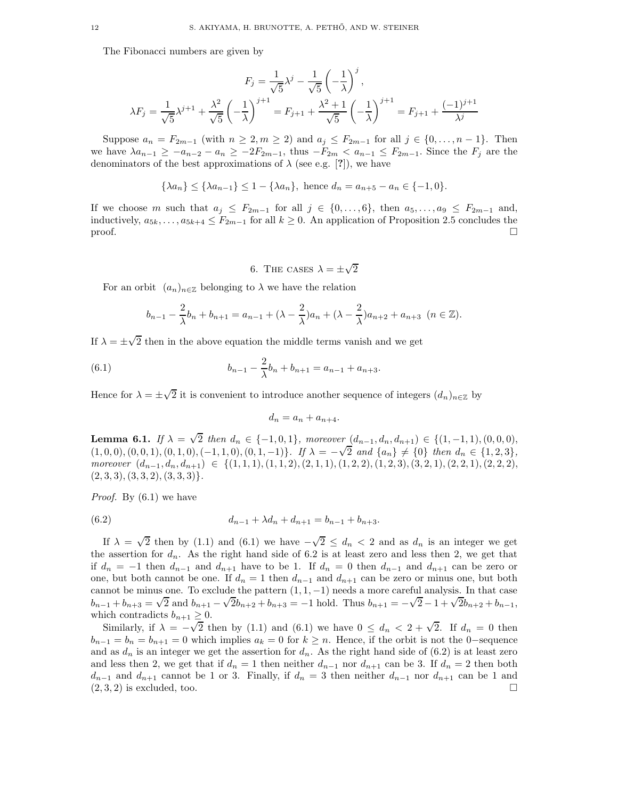The Fibonacci numbers are given by

$$
F_j = \frac{1}{\sqrt{5}} \lambda^j - \frac{1}{\sqrt{5}} \left( -\frac{1}{\lambda} \right)^j,
$$
  

$$
\lambda F_j = \frac{1}{\sqrt{5}} \lambda^{j+1} + \frac{\lambda^2}{\sqrt{5}} \left( -\frac{1}{\lambda} \right)^{j+1} = F_{j+1} + \frac{\lambda^2 + 1}{\sqrt{5}} \left( -\frac{1}{\lambda} \right)^{j+1} = F_{j+1} + \frac{(-1)^{j+1}}{\lambda^j}
$$

Suppose  $a_n = F_{2m-1}$  (with  $n \geq 2, m \geq 2$ ) and  $a_j \leq F_{2m-1}$  for all  $j \in \{0, \ldots, n-1\}$ . Then we have  $\lambda a_{n-1} \geq -a_{n-2} - a_n \geq -2F_{2m-1}$ , thus  $-F_{2m} < a_{n-1} \leq F_{2m-1}$ . Since the  $F_j$  are the denominators of the best approximations of  $\lambda$  (see e.g. [?]), we have

$$
\{\lambda a_n\} \le \{\lambda a_{n-1}\} \le 1 - \{\lambda a_n\}, \text{ hence } d_n = a_{n+5} - a_n \in \{-1, 0\}.
$$

If we choose m such that  $a_j \leq F_{2m-1}$  for all  $j \in \{0,\ldots,6\}$ , then  $a_5,\ldots,a_9 \leq F_{2m-1}$  and, inductively,  $a_{5k},..., a_{5k+4} \leq F_{2m-1}$  for all  $k \geq 0$ . An application of Proposition 2.5 concludes the proof. □  $\Box$ 

# 6. The cases  $\lambda = \pm \sqrt{2}$

For an orbit  $(a_n)_{n\in\mathbb{Z}}$  belonging to  $\lambda$  we have the relation

$$
b_{n-1} - \frac{2}{\lambda}b_n + b_{n+1} = a_{n-1} + (\lambda - \frac{2}{\lambda})a_n + (\lambda - \frac{2}{\lambda})a_{n+2} + a_{n+3} \quad (n \in \mathbb{Z}).
$$

If  $\lambda = \pm \sqrt{2}$  then in the above equation the middle terms vanish and we get

(6.1) 
$$
b_{n-1} - \frac{2}{\lambda}b_n + b_{n+1} = a_{n-1} + a_{n+3}.
$$

Hence for  $\lambda = \pm \sqrt{2}$  it is convenient to introduce another sequence of integers  $(d_n)_{n \in \mathbb{Z}}$  by

$$
d_n = a_n + a_{n+4}.
$$

**Lemma 6.1.** If  $\lambda = \sqrt{2}$  then  $d_n \in \{-1,0,1\}$ , moreover  $(d_{n-1}, d_n, d_{n+1}) \in \{(1,-1,1), (0,0,0),$ (1, 0, 0), (0, 0, 1), (0, 1, 0), (−1, 1, 0), (0, 1, −1)}. If  $\lambda = -\sqrt{2}$  and  $\{a_n\} \neq \{0\}$  then  $d_n \in \{1, 2, 3\}$ , moreover  $(d_{n-1}, d_n, d_{n+1}) \in \{(1, 1, 1), (1, 1, 2), (2, 1, 1), (1, 2, 2), (1, 2, 3), (3, 2, 1), (2, 2, 1), (2, 2, 2),$  $(2, 3, 3), (3, 3, 2), (3, 3, 3)$ .

Proof. By (6.1) we have

(6.2) 
$$
d_{n-1} + \lambda d_n + d_{n+1} = b_{n-1} + b_{n+3}.
$$

If  $\lambda = \sqrt{2}$  then by (1.1) and (6.1) we have  $-\sqrt{2} \le d_n < 2$  and as  $d_n$  is an integer we get the assertion for  $d_n$ . As the right hand side of 6.2 is at least zero and less then 2, we get that if  $d_n = -1$  then  $d_{n-1}$  and  $d_{n+1}$  have to be 1. If  $d_n = 0$  then  $d_{n-1}$  and  $d_{n+1}$  can be zero or one, but both cannot be one. If  $d_n = 1$  then  $d_{n-1}$  and  $d_{n+1}$  can be zero or minus one, but both cannot be minus one. To exclude the pattern  $(1, 1, -1)$  needs a more careful analysis. In that case  $b_{n-1} + b_{n+3} = \sqrt{2}$  and  $b_{n+1} - \sqrt{2}b_{n+2} + b_{n+3} = -1$  hold. Thus  $b_{n+1} = -\sqrt{2} - 1 + \sqrt{2}b_{n+2} + b_{n-1}$ , which contradicts  $b_{n+1} \geq 0$ .

Similarly, if  $\lambda = -\sqrt{2}$  then by (1.1) and (6.1) we have  $0 \leq d_n < 2 + \sqrt{2}$ . If  $d_n = 0$  then  $b_{n-1} = b_n = b_{n+1} = 0$  which implies  $a_k = 0$  for  $k \geq n$ . Hence, if the orbit is not the 0–sequence and as  $d_n$  is an integer we get the assertion for  $d_n$ . As the right hand side of (6.2) is at least zero and less then 2, we get that if  $d_n = 1$  then neither  $d_{n-1}$  nor  $d_{n+1}$  can be 3. If  $d_n = 2$  then both  $d_{n-1}$  and  $d_{n+1}$  cannot be 1 or 3. Finally, if  $d_n = 3$  then neither  $d_{n-1}$  nor  $d_{n+1}$  can be 1 and  $(2, 3, 2)$  is excluded too  $(2, 3, 2)$  is excluded, too.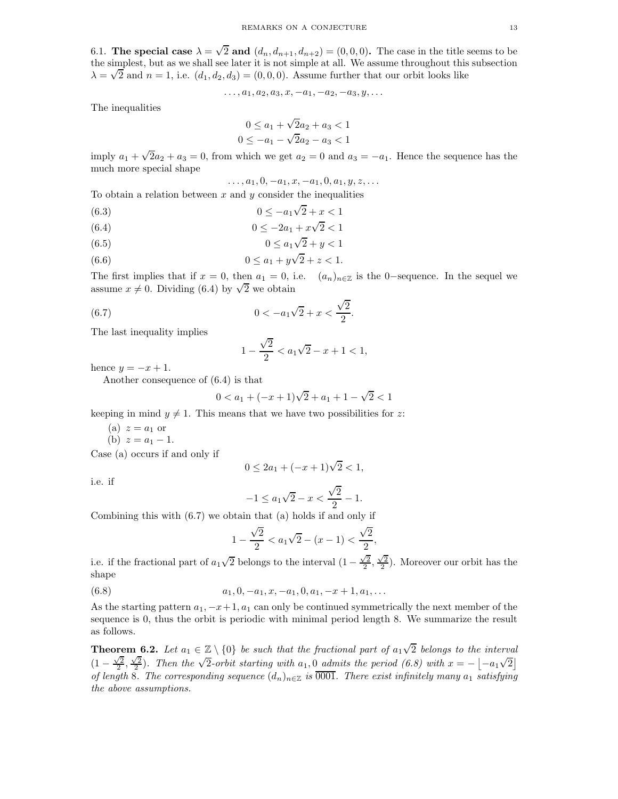6.1. The special case  $\lambda = \sqrt{2}$  and  $(d_n, d_{n+1}, d_{n+2}) = (0, 0, 0)$ . The case in the title seems to be the simplest, but as we shall see later it is not simple at all. We assume throughout this subsection  $\lambda = \sqrt{2}$  and  $n = 1$ , i.e.  $(d_1, d_2, d_3) = (0, 0, 0)$ . Assume further that our orbit looks like

$$
\ldots, a_1, a_2, a_3, x, -a_1, -a_2, -a_3, y, \ldots
$$

The inequalities

$$
0 \le a_1 + \sqrt{2}a_2 + a_3 < 1
$$
\n
$$
0 \le -a_1 - \sqrt{2}a_2 - a_3 < 1
$$

imply  $a_1 + \sqrt{2}a_2 + a_3 = 0$ , from which we get  $a_2 = 0$  and  $a_3 = -a_1$ . Hence the sequence has the much more special shape

$$
\ldots, a_1, 0, -a_1, x, -a_1, 0, a_1, y, z, \ldots
$$

To obtain a relation between  $x$  and  $y$  consider the inequalities

- (6.3)  $0 \le -a_1\sqrt{2} + x < 1$
- (6.4)  $0 \le -2a_1 + x\sqrt{2} < 1$
- (6.5)  $0 \le a_1\sqrt{2} + y < 1$
- (6.6)  $0 \le a_1 + y\sqrt{2} + z < 1.$

The first implies that if  $x = 0$ , then  $a_1 = 0$ , i.e.  $(a_n)_{n \in \mathbb{Z}}$  is the 0-sequence. In the sequel we assume  $x \neq 0$ . Dividing (6.4) by  $\sqrt{2}$  we obtain

(6.7) 
$$
0 < -a_1\sqrt{2} + x < \frac{\sqrt{2}}{2}.
$$

The last inequality implies

$$
1 - \frac{\sqrt{2}}{2} < a_1 \sqrt{2} - x + 1 < 1,
$$

hence  $y = -x + 1$ .

Another consequence of (6.4) is that

$$
0 < a_1 + (-x+1)\sqrt{2} + a_1 + 1 - \sqrt{2} < 1
$$

keeping in mind  $y \neq 1$ . This means that we have two possibilities for z:

(a)  $z = a_1$  or

(b)  $z = a_1 - 1$ .

Case (a) occurs if and only if

$$
0 \le 2a_1 + (-x+1)\sqrt{2} < 1,
$$

i.e. if

$$
-1 \le a_1 \sqrt{2} - x < \frac{\sqrt{2}}{2} - 1.
$$

Combining this with (6.7) we obtain that (a) holds if and only if

$$
1 - \frac{\sqrt{2}}{2} < a_1\sqrt{2} - (x - 1) < \frac{\sqrt{2}}{2},
$$

i.e. if the fractional part of  $a_1\sqrt{2}$  belongs to the interval  $(1-\frac{\sqrt{2}}{2},\frac{\sqrt{2}}{2})$ . Moreover our orbit has the shape

(6.8) 
$$
a_1, 0, -a_1, x, -a_1, 0, a_1, -x+1, a_1, \ldots
$$

As the starting pattern  $a_1, -x+1, a_1$  can only be continued symmetrically the next member of the sequence is 0, thus the orbit is periodic with minimal period length 8. We summarize the result as follows.

**Theorem 6.2.** Let  $a_1 \in \mathbb{Z} \setminus \{0\}$  be such that the fractional part of  $a_1\sqrt{2}$  belongs to the interval  $(1-\frac{\sqrt{2}}{2},\frac{\sqrt{2}}{2})$ . Then the  $\sqrt{2}$ -orbit starting with  $a_1, 0$  admits the period (6.8) with  $x = -\begin{bmatrix} -a_1\sqrt{2} \end{bmatrix}$ of length 8. The corresponding sequence  $(d_n)_{n\in\mathbb{Z}}$  is  $\overline{0001}$ . There exist infinitely many  $a_1$  satisfying the above assumptions.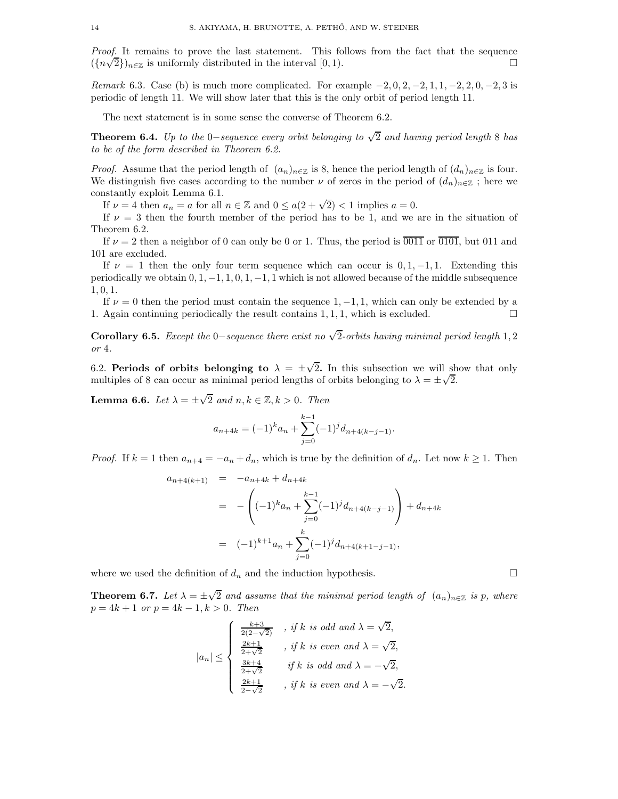Proof. It remains to prove the last statement. This follows from the fact that the sequence  $((n\sqrt{2}))_{n\in\mathbb{Z}}$  is uniformly distributed in the interval  $[0, 1)$ .

*Remark* 6.3. Case (b) is much more complicated. For example  $-2, 0, 2, -2, 1, 1, -2, 2, 0, -2, 3$  is periodic of length 11. We will show later that this is the only orbit of period length 11.

The next statement is in some sense the converse of Theorem 6.2.

**Theorem 6.4.** Up to the 0-sequence every orbit belonging to  $\sqrt{2}$  and having period length 8 has to be of the form described in Theorem 6.2.

*Proof.* Assume that the period length of  $(a_n)_{n\in\mathbb{Z}}$  is 8, hence the period length of  $(d_n)_{n\in\mathbb{Z}}$  is four. We distinguish five cases according to the number  $\nu$  of zeros in the period of  $(d_n)_{n\in\mathbb{Z}}$ ; here we constantly exploit Lemma 6.1.

If  $\nu = 4$  then  $a_n = a$  for all  $n \in \mathbb{Z}$  and  $0 \le a(2 + \sqrt{2}) < 1$  implies  $a = 0$ .

If  $\nu = 3$  then the fourth member of the period has to be 1, and we are in the situation of Theorem 6.2.

If  $\nu = 2$  then a neighbor of 0 can only be 0 or 1. Thus, the period is  $\overline{0011}$  or  $\overline{0101}$ , but 011 and 101 are excluded.

If  $\nu = 1$  then the only four term sequence which can occur is 0, 1, -1, 1. Extending this periodically we obtain  $0, 1, -1, 1, 0, 1, -1, 1$  which is not allowed because of the middle subsequence 1, 0, 1.

If  $\nu = 0$  then the period must contain the sequence 1, -1, 1, which can only be extended by a Again continuing periodically the result contains 1, 1, 1, which is excluded. 1. Again continuing periodically the result contains 1, 1, 1, which is excluded.

**Corollary 6.5.** Except the 0–sequence there exist no  $\sqrt{2}$ -orbits having minimal period length 1, 2 or 4.

6.2. Periods of orbits belonging to  $\lambda = \pm \sqrt{2}$ . In this subsection we will show that only multiples of 8 can occur as minimal period lengths of orbits belonging to  $\lambda = \pm \sqrt{2}$ .

**Lemma 6.6.** Let  $\lambda = \pm \sqrt{2}$  and  $n, k \in \mathbb{Z}, k > 0$ . Then

$$
a_{n+4k} = (-1)^k a_n + \sum_{j=0}^{k-1} (-1)^j d_{n+4(k-j-1)}.
$$

*Proof.* If  $k = 1$  then  $a_{n+4} = -a_n + d_n$ , which is true by the definition of  $d_n$ . Let now  $k \ge 1$ . Then

$$
a_{n+4(k+1)} = -a_{n+4k} + d_{n+4k}
$$
  
= 
$$
- \left( (-1)^k a_n + \sum_{j=0}^{k-1} (-1)^j d_{n+4(k-j-1)} \right) + d_{n+4k}
$$
  
= 
$$
(-1)^{k+1} a_n + \sum_{j=0}^k (-1)^j d_{n+4(k+1-j-1)},
$$

where we used the definition of  $d_n$  and the induction hypothesis.

**Theorem 6.7.** Let  $\lambda = \pm \sqrt{2}$  and assume that the minimal period length of  $(a_n)_{n \in \mathbb{Z}}$  is p, where  $p = 4k + 1$  or  $p = 4k - 1, k > 0$ . Then

$$
|a_n| \leq \left\{ \begin{array}{ll} \frac{k+3}{2(2-\sqrt{2})} & ,\text{ if } k \text{ is odd and } \lambda = \sqrt{2}, \\ \frac{2k+1}{2+\sqrt{2}} & ,\text{ if } k \text{ is even and } \lambda = \sqrt{2}, \\ \frac{3k+4}{2+\sqrt{2}} & \text{ if } k \text{ is odd and } \lambda = -\sqrt{2}, \\ \frac{2k+1}{2-\sqrt{2}} & ,\text{ if } k \text{ is even and } \lambda = -\sqrt{2}. \end{array} \right.
$$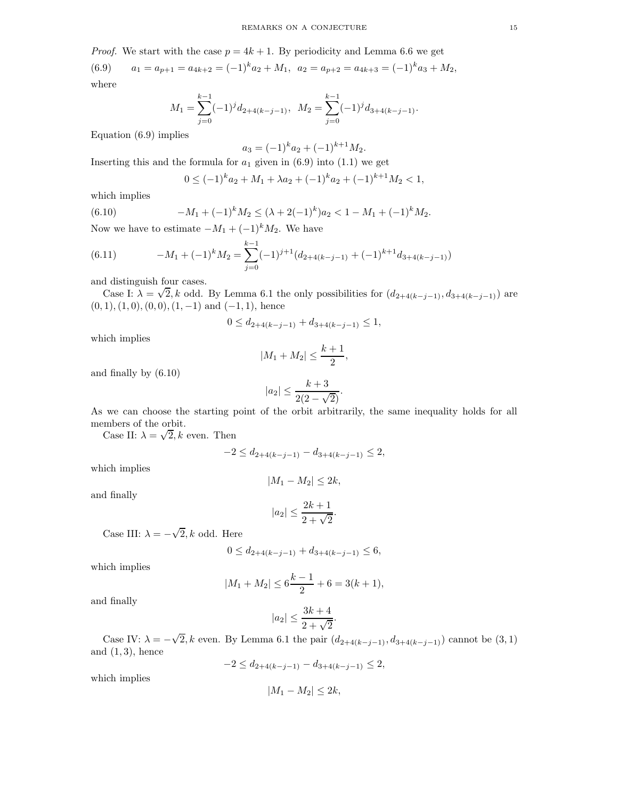*Proof.* We start with the case  $p = 4k + 1$ . By periodicity and Lemma 6.6 we get (6.9)  $a_1 = a_{p+1} = a_{4k+2} = (-1)^k a_2 + M_1, \ a_2 = a_{p+2} = a_{4k+3} = (-1)^k a_3 + M_2,$ where

$$
M_1 = \sum_{j=0}^{k-1} (-1)^j d_{2+4(k-j-1)}, \quad M_2 = \sum_{j=0}^{k-1} (-1)^j d_{3+4(k-j-1)}.
$$

Equation (6.9) implies

$$
a_3 = (-1)^k a_2 + (-1)^{k+1} M_2.
$$

Inserting this and the formula for  $a_1$  given in  $(6.9)$  into  $(1.1)$  we get

$$
0 \le (-1)^{k} a_2 + M_1 + \lambda a_2 + (-1)^{k} a_2 + (-1)^{k+1} M_2 < 1,
$$

which implies

(6.10) 
$$
-M_1 + (-1)^k M_2 \le (\lambda + 2(-1)^k) a_2 < 1 - M_1 + (-1)^k M_2.
$$

Now we have to estimate  $-M_1 + (-1)^k M_2$ . We have

(6.11) 
$$
-M_1 + (-1)^k M_2 = \sum_{j=0}^{k-1} (-1)^{j+1} (d_{2+4(k-j-1)} + (-1)^{k+1} d_{3+4(k-j-1)})
$$

and distinguish four cases.

Case I:  $\lambda = \sqrt{2}$ , k odd. By Lemma 6.1 the only possibilities for  $(d_{2+4(k-j-1)}, d_{3+4(k-j-1)})$  are  $(0, 1), (1, 0), (0, 0), (1, -1)$  and  $(-1, 1)$ , hence

$$
0 \le d_{2+4(k-j-1)} + d_{3+4(k-j-1)} \le 1,
$$

which implies

$$
|M_1 + M_2| \le \frac{k+1}{2},
$$

and finally by (6.10)

$$
|a_2| \le \frac{k+3}{2(2-\sqrt{2})}.
$$

As we can choose the starting point of the orbit arbitrarily, the same inequality holds for all members of the orbit.

Case II:  $\lambda = \sqrt{2}$ , k even. Then

$$
-2 \le d_{2+4(k-j-1)} - d_{3+4(k-j-1)} \le 2,
$$

which implies

$$
|M_1 - M_2| \leq 2k,
$$

and finally

$$
|a_2| \le \frac{2k+1}{2+\sqrt{2}}.
$$

Case III:  $\lambda = -\sqrt{2}$ , k odd. Here

$$
0 \le d_{2+4(k-j-1)} + d_{3+4(k-j-1)} \le 6,
$$

which implies

$$
|M_1 + M_2| \le 6\frac{k-1}{2} + 6 = 3(k+1),
$$

and finally

$$
|a_2| \le \frac{3k+4}{2+\sqrt{2}}.
$$

Case IV:  $\lambda = -\sqrt{2}$ , k even. By Lemma 6.1 the pair  $(d_{2+4(k-j-1)}, d_{3+4(k-j-1)})$  cannot be  $(3, 1)$ and  $(1, 3)$ , hence

$$
-2 \le d_{2+4(k-j-1)} - d_{3+4(k-j-1)} \le 2,
$$

which implies

$$
|M_1 - M_2| \leq 2k,
$$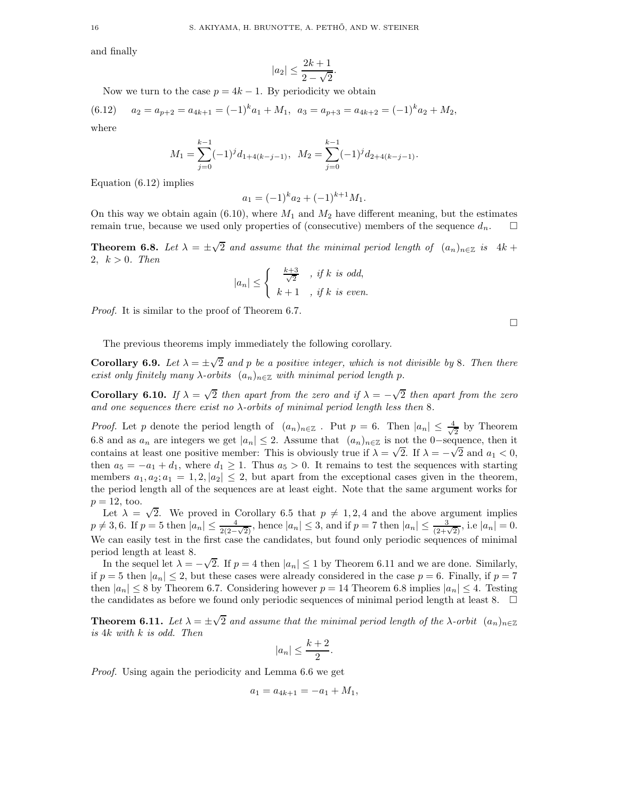and finally

$$
|a_2| \le \frac{2k+1}{2-\sqrt{2}}.
$$

Now we turn to the case  $p = 4k - 1$ . By periodicity we obtain

(6.12) 
$$
a_2 = a_{p+2} = a_{4k+1} = (-1)^k a_1 + M_1, \quad a_3 = a_{p+3} = a_{4k+2} = (-1)^k a_2 + M_2,
$$

where

$$
M_1 = \sum_{j=0}^{k-1} (-1)^j d_{1+4(k-j-1)}, \quad M_2 = \sum_{j=0}^{k-1} (-1)^j d_{2+4(k-j-1)}.
$$

Equation (6.12) implies

$$
a_1 = (-1)^k a_2 + (-1)^{k+1} M_1.
$$

On this way we obtain again  $(6.10)$ , where  $M_1$  and  $M_2$  have different meaning, but the estimates remain true, because we used only properties of (consecutive) members of the sequence  $d_n$ .  $\square$ 

**Theorem 6.8.** Let  $\lambda = \pm \sqrt{2}$  and assume that the minimal period length of  $(a_n)_{n \in \mathbb{Z}}$  is  $4k +$ 2,  $k > 0$ . Then

$$
|a_n|\leq \left\{\begin{array}{c}\frac{k+3}{\sqrt{2}}\quad \text{, if $k$ is odd,}\\ k+1\quad \text{, if $k$ is even.}\end{array}\right.
$$

Proof. It is similar to the proof of Theorem 6.7.

The previous theorems imply immediately the following corollary.

**Corollary 6.9.** Let  $\lambda = \pm \sqrt{2}$  and p be a positive integer, which is not divisible by 8. Then there exist only finitely many  $\lambda$ -orbits  $(a_n)_{n\in\mathbb{Z}}$  with minimal period length p.

**Corollary 6.10.** If  $\lambda = \sqrt{2}$  then apart from the zero and if  $\lambda = -\sqrt{2}$  then apart from the zero and one sequences there exist no  $\lambda$ -orbits of minimal period length less then 8.

*Proof.* Let p denote the period length of  $(a_n)_{n \in \mathbb{Z}}$ . Put  $p = 6$ . Then  $|a_n| \leq \frac{4}{\sqrt{n}}$  $\frac{1}{2}$  by Theorem 6.8 and as  $a_n$  are integers we get  $|a_n| \leq 2$ . Assume that  $(a_n)_{n \in \mathbb{Z}}$  is not the 0–sequence, then it contains at least one positive member: This is obviously true if  $\lambda = \sqrt{2}$ . If  $\lambda = -\sqrt{2}$  and  $a_1 < 0$ , then  $a_5 = -a_1 + d_1$ , where  $d_1 \geq 1$ . Thus  $a_5 > 0$ . It remains to test the sequences with starting members  $a_1, a_2; a_1 = 1, 2, |a_2| \leq 2$ , but apart from the exceptional cases given in the theorem, the period length all of the sequences are at least eight. Note that the same argument works for  $p = 12$ , too.

Let  $\lambda = \sqrt{2}$ . We proved in Corollary 6.5 that  $p \neq 1, 2, 4$  and the above argument implies  $p \neq 3, 6$ . If  $p = 5$  then  $|a_n| \leq \frac{4}{2(2-\frac{3}{2})}$  $\frac{4}{2(2-\sqrt{2})}$ , hence  $|a_n|$  ≤ 3, and if  $p = 7$  then  $|a_n|$  ≤  $\frac{3}{(2+\sqrt{2})}$ , i.e  $|a_n| = 0$ . We can easily test in the first case the candidates, but found only periodic sequences of minimal period length at least 8.

In the sequel let  $\lambda = -\sqrt{2}$ . If  $p = 4$  then  $|a_n| \le 1$  by Theorem 6.11 and we are done. Similarly, if  $p = 5$  then  $|a_n| \leq 2$ , but these cases were already considered in the case  $p = 6$ . Finally, if  $p = 7$ then  $|a_n| \leq 8$  by Theorem 6.7. Considering however  $p = 14$  Theorem 6.8 implies  $|a_n| \leq 4$ . Testing the candidates as before we found only periodic sequences of minimal period length at least 8.  $\Box$ 

**Theorem 6.11.** Let  $\lambda = \pm \sqrt{2}$  and assume that the minimal period length of the  $\lambda$ -orbit  $(a_n)_{n \in \mathbb{Z}}$ is 4k with k is odd. Then

$$
|a_n| \le \frac{k+2}{2}.
$$

Proof. Using again the periodicity and Lemma 6.6 we get

$$
a_1 = a_{4k+1} = -a_1 + M_1,
$$

 $\Box$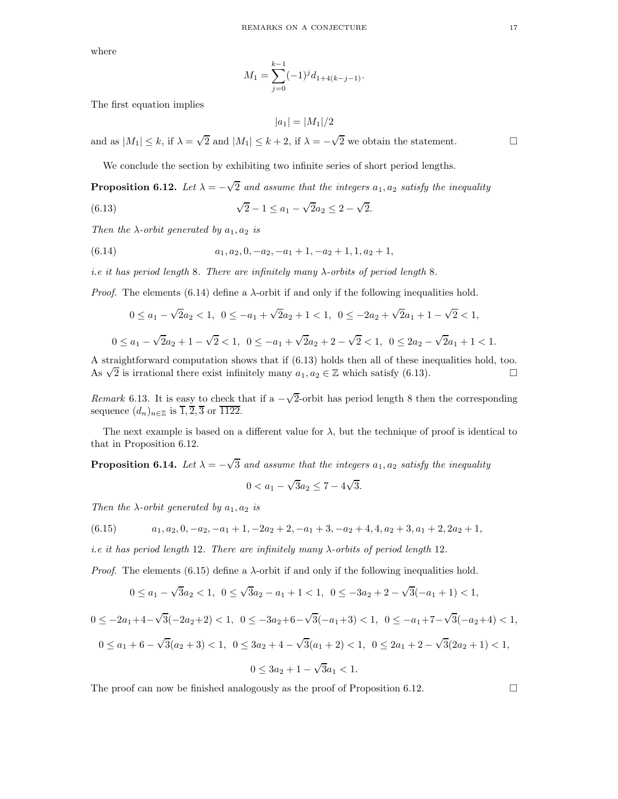where

$$
M_1 = \sum_{j=0}^{k-1} (-1)^j d_{1+4(k-j-1)}.
$$

The first equation implies

$$
|a_1| = |M_1|/2
$$

and as  $|M_1| \leq k$ , if  $\lambda = \sqrt{2}$  and  $|M_1| \leq k+2$ , if  $\lambda = -\sqrt{2}$  we obtain the statement.

We conclude the section by exhibiting two infinite series of short period lengths.

**Proposition 6.12.** Let  $\lambda = -\sqrt{2}$  and assume that the integers  $a_1, a_2$  satisfy the inequality

(6.13) 
$$
\sqrt{2} - 1 \le a_1 - \sqrt{2}a_2 \le 2 - \sqrt{2}.
$$

Then the  $\lambda$ -orbit generated by  $a_1, a_2$  is

(6.14) 
$$
a_1, a_2, 0, -a_2, -a_1 + 1, -a_2 + 1, 1, a_2 + 1,
$$

i.e it has period length 8. There are infinitely many  $\lambda$ -orbits of period length 8.

*Proof.* The elements (6.14) define a  $\lambda$ -orbit if and only if the following inequalities hold.

$$
0 \le a_1 - \sqrt{2}a_2 < 1, \ 0 \le -a_1 + \sqrt{2}a_2 + 1 < 1, \ 0 \le -2a_2 + \sqrt{2}a_1 + 1 - \sqrt{2} < 1,
$$
\n
$$
0 \le a_1 - \sqrt{2}a_2 + 1 - \sqrt{2} < 1, \ 0 \le -a_1 + \sqrt{2}a_2 + 2 - \sqrt{2} < 1, \ 0 \le 2a_2 - \sqrt{2}a_1 + 1 < 1.
$$

A straightforward computation shows that if (6.13) holds then all of these inequalities hold, too. As  $\sqrt{2}$  is irrational there exist infinitely many  $a_1, a_2 \in \mathbb{Z}$  which satisfy (6.13).

Remark 6.13. It is easy to check that if a  $-\sqrt{2}$ -orbit has period length 8 then the corresponding sequence  $(d_n)_{n\in\mathbb{Z}}$  is  $\overline{1}, \overline{2}, \overline{3}$  or  $\overline{1122}$ .

The next example is based on a different value for  $\lambda$ , but the technique of proof is identical to that in Proposition 6.12.

**Proposition 6.14.** Let  $\lambda = -\sqrt{3}$  and assume that the integers  $a_1, a_2$  satisfy the inequality

$$
0 < a_1 - \sqrt{3}a_2 \le 7 - 4\sqrt{3}.
$$

Then the  $\lambda$ -orbit generated by  $a_1, a_2$  is

$$
(6.15) \qquad a_1, a_2, 0, -a_2, -a_1 + 1, -2a_2 + 2, -a_1 + 3, -a_2 + 4, 4, a_2 + 3, a_1 + 2, 2a_2 + 1,
$$

i.e it has period length 12. There are infinitely many  $\lambda$ -orbits of period length 12.

*Proof.* The elements  $(6.15)$  define a  $\lambda$ -orbit if and only if the following inequalities hold.

$$
0 \le a_1 - \sqrt{3}a_2 < 1, \ \ 0 \le \sqrt{3}a_2 - a_1 + 1 < 1, \ \ 0 \le -3a_2 + 2 - \sqrt{3}(-a_1 + 1) < 1,
$$

$$
0 \le -2a_1 + 4 - \sqrt{3}(-2a_2 + 2) < 1, \ \ 0 \le -3a_2 + 6 - \sqrt{3}(-a_1 + 3) < 1, \ \ 0 \le -a_1 + 7 - \sqrt{3}(-a_2 + 4) < 1,
$$

$$
0 \le a_1 + 6 - \sqrt{3}(a_2 + 3) < 1, \ 0 \le 3a_2 + 4 - \sqrt{3}(a_1 + 2) < 1, \ 0 \le 2a_1 + 2 - \sqrt{3}(2a_2 + 1) < 1,
$$

$$
0 \le 3a_2 + 1 - \sqrt{3}a_1 < 1.
$$

The proof can now be finished analogously as the proof of Proposition 6.12.  $\Box$